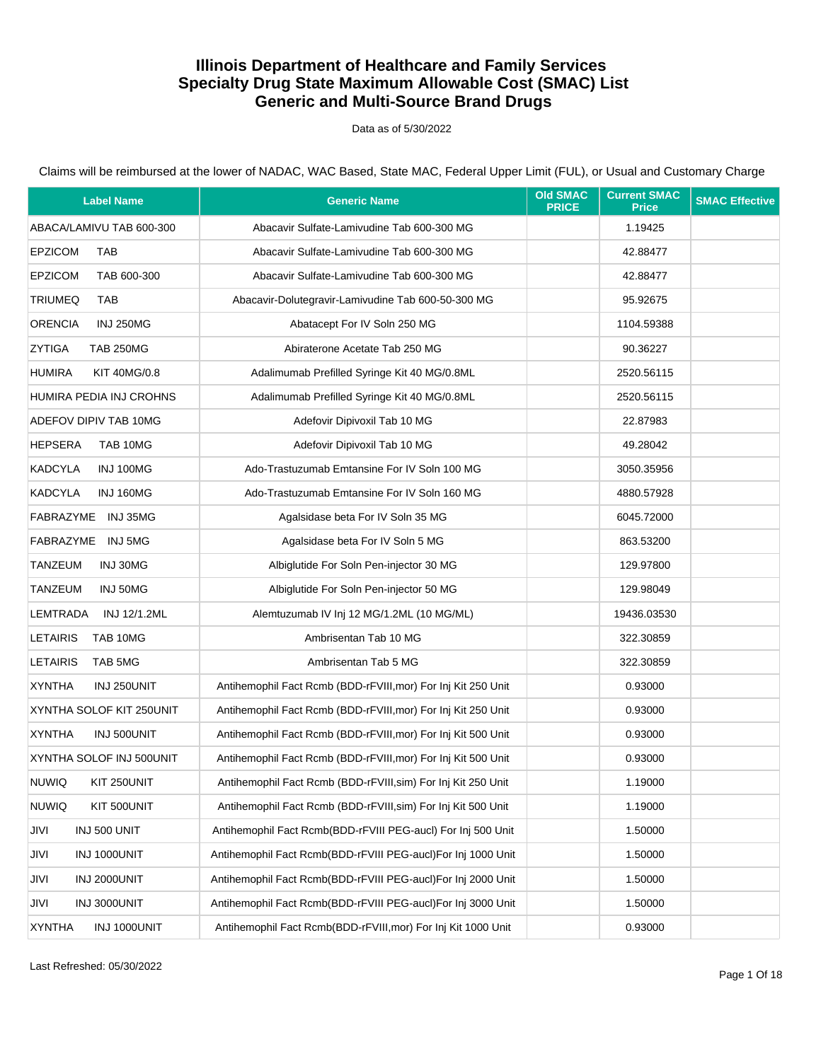Data as of 5/30/2022

| <b>Label Name</b>                    | <b>Generic Name</b>                                           | <b>Old SMAC</b><br><b>PRICE</b> | <b>Current SMAC</b><br><b>Price</b> | <b>SMAC Effective</b> |
|--------------------------------------|---------------------------------------------------------------|---------------------------------|-------------------------------------|-----------------------|
| ABACA/LAMIVU TAB 600-300             | Abacavir Sulfate-Lamivudine Tab 600-300 MG                    |                                 | 1.19425                             |                       |
| <b>EPZICOM</b><br><b>TAB</b>         | Abacavir Sulfate-Lamivudine Tab 600-300 MG                    |                                 | 42.88477                            |                       |
| <b>EPZICOM</b><br>TAB 600-300        | Abacavir Sulfate-Lamivudine Tab 600-300 MG                    |                                 | 42.88477                            |                       |
| <b>TRIUMEQ</b><br><b>TAB</b>         | Abacavir-Dolutegravir-Lamivudine Tab 600-50-300 MG            |                                 | 95.92675                            |                       |
| <b>ORENCIA</b><br><b>INJ 250MG</b>   | Abatacept For IV Soln 250 MG                                  |                                 | 1104.59388                          |                       |
| <b>ZYTIGA</b><br><b>TAB 250MG</b>    | Abiraterone Acetate Tab 250 MG                                |                                 | 90.36227                            |                       |
| <b>HUMIRA</b><br><b>KIT 40MG/0.8</b> | Adalimumab Prefilled Syringe Kit 40 MG/0.8ML                  |                                 | 2520.56115                          |                       |
| HUMIRA PEDIA INJ CROHNS              | Adalimumab Prefilled Syringe Kit 40 MG/0.8ML                  |                                 | 2520.56115                          |                       |
| ADEFOV DIPIV TAB 10MG                | Adefovir Dipivoxil Tab 10 MG                                  |                                 | 22.87983                            |                       |
| <b>HEPSERA</b><br>TAB 10MG           | Adefovir Dipivoxil Tab 10 MG                                  |                                 | 49.28042                            |                       |
| <b>KADCYLA</b><br>INJ 100MG          | Ado-Trastuzumab Emtansine For IV Soln 100 MG                  |                                 | 3050.35956                          |                       |
| <b>KADCYLA</b><br>INJ 160MG          | Ado-Trastuzumab Emtansine For IV Soln 160 MG                  |                                 | 4880.57928                          |                       |
| FABRAZYME INJ 35MG                   | Agalsidase beta For IV Soln 35 MG                             |                                 | 6045.72000                          |                       |
| FABRAZYME INJ 5MG                    | Agalsidase beta For IV Soln 5 MG                              |                                 | 863.53200                           |                       |
| TANZEUM<br>INJ 30MG                  | Albiglutide For Soln Pen-injector 30 MG                       |                                 | 129.97800                           |                       |
| TANZEUM<br>INJ 50MG                  | Albiglutide For Soln Pen-injector 50 MG                       |                                 | 129.98049                           |                       |
| LEMTRADA<br>INJ 12/1.2ML             | Alemtuzumab IV Inj 12 MG/1.2ML (10 MG/ML)                     |                                 | 19436.03530                         |                       |
| <b>LETAIRIS</b><br>TAB 10MG          | Ambrisentan Tab 10 MG                                         |                                 | 322.30859                           |                       |
| <b>LETAIRIS</b><br>TAB 5MG           | Ambrisentan Tab 5 MG                                          |                                 | 322.30859                           |                       |
| <b>XYNTHA</b><br>INJ 250UNIT         | Antihemophil Fact Rcmb (BDD-rFVIII, mor) For Inj Kit 250 Unit |                                 | 0.93000                             |                       |
| XYNTHA SOLOF KIT 250UNIT             | Antihemophil Fact Rcmb (BDD-rFVIII, mor) For Inj Kit 250 Unit |                                 | 0.93000                             |                       |
| <b>XYNTHA</b><br>INJ 500UNIT         | Antihemophil Fact Rcmb (BDD-rFVIII, mor) For Inj Kit 500 Unit |                                 | 0.93000                             |                       |
| XYNTHA SOLOF INJ 500UNIT             | Antihemophil Fact Rcmb (BDD-rFVIII, mor) For Inj Kit 500 Unit |                                 | 0.93000                             |                       |
| <b>NUWIQ</b><br>KIT 250UNIT          | Antihemophil Fact Rcmb (BDD-rFVIII, sim) For Inj Kit 250 Unit |                                 | 1.19000                             |                       |
| <b>NUWIQ</b><br>KIT 500UNIT          | Antihemophil Fact Rcmb (BDD-rFVIII, sim) For Inj Kit 500 Unit |                                 | 1.19000                             |                       |
| JIVI<br>INJ 500 UNIT                 | Antihemophil Fact Rcmb(BDD-rFVIII PEG-aucl) For Inj 500 Unit  |                                 | 1.50000                             |                       |
| JIVI<br>INJ 1000UNIT                 | Antihemophil Fact Rcmb(BDD-rFVIII PEG-aucl)For Inj 1000 Unit  |                                 | 1.50000                             |                       |
| INJ 2000UNIT<br>JIVI                 | Antihemophil Fact Rcmb(BDD-rFVIII PEG-aucl)For Inj 2000 Unit  |                                 | 1.50000                             |                       |
| JIVI<br>INJ 3000UNIT                 | Antihemophil Fact Rcmb(BDD-rFVIII PEG-aucl)For Inj 3000 Unit  |                                 | 1.50000                             |                       |
| <b>XYNTHA</b><br>INJ 1000UNIT        | Antihemophil Fact Rcmb(BDD-rFVIII, mor) For Inj Kit 1000 Unit |                                 | 0.93000                             |                       |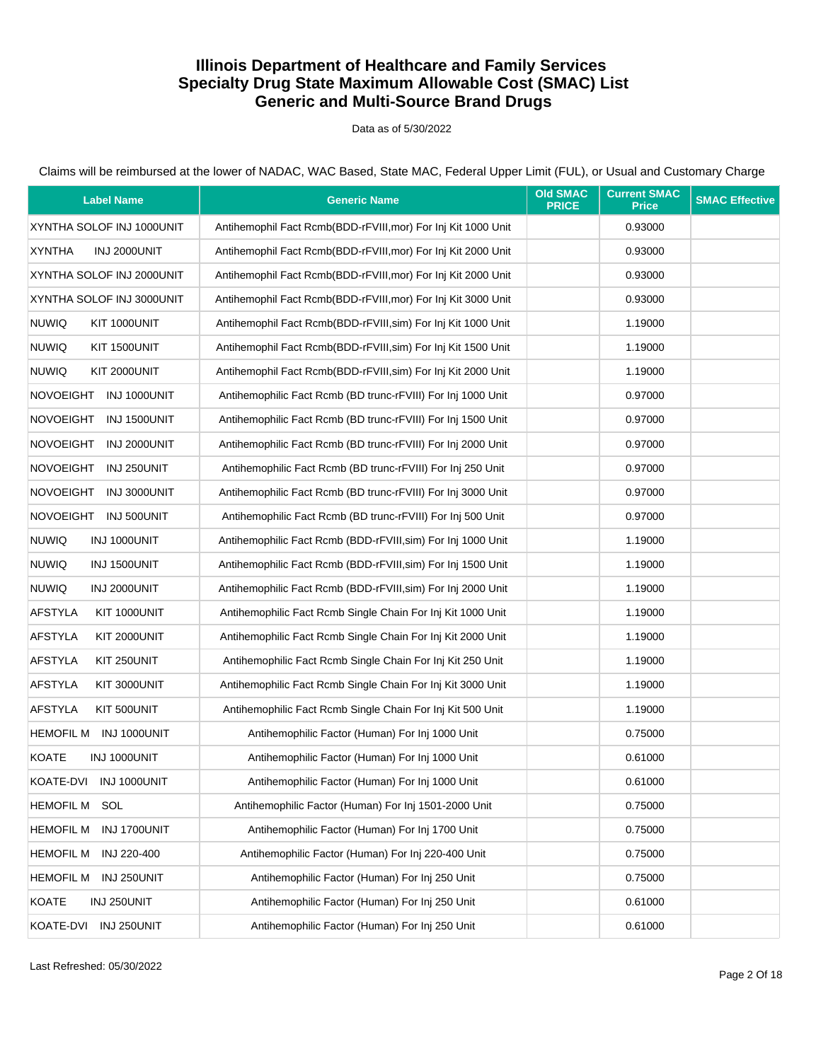Data as of 5/30/2022

| <b>Label Name</b>                | <b>Generic Name</b>                                           | <b>Old SMAC</b><br><b>PRICE</b> | <b>Current SMAC</b><br><b>Price</b> | <b>SMAC Effective</b> |
|----------------------------------|---------------------------------------------------------------|---------------------------------|-------------------------------------|-----------------------|
| XYNTHA SOLOF INJ 1000UNIT        | Antihemophil Fact Rcmb(BDD-rFVIII, mor) For Inj Kit 1000 Unit |                                 | 0.93000                             |                       |
| <b>XYNTHA</b><br>INJ 2000UNIT    | Antihemophil Fact Rcmb(BDD-rFVIII, mor) For Inj Kit 2000 Unit |                                 | 0.93000                             |                       |
| XYNTHA SOLOF INJ 2000UNIT        | Antihemophil Fact Rcmb(BDD-rFVIII, mor) For Inj Kit 2000 Unit |                                 | 0.93000                             |                       |
| XYNTHA SOLOF INJ 3000UNIT        | Antihemophil Fact Rcmb(BDD-rFVIII, mor) For Inj Kit 3000 Unit |                                 | 0.93000                             |                       |
| <b>NUWIQ</b><br>KIT 1000UNIT     | Antihemophil Fact Rcmb(BDD-rFVIII, sim) For Inj Kit 1000 Unit |                                 | 1.19000                             |                       |
| <b>NUWIQ</b><br>KIT 1500UNIT     | Antihemophil Fact Rcmb(BDD-rFVIII, sim) For Inj Kit 1500 Unit |                                 | 1.19000                             |                       |
| <b>NUWIQ</b><br>KIT 2000UNIT     | Antihemophil Fact Rcmb(BDD-rFVIII, sim) For Inj Kit 2000 Unit |                                 | 1.19000                             |                       |
| NOVOEIGHT INJ 1000UNIT           | Antihemophilic Fact Rcmb (BD trunc-rFVIII) For Inj 1000 Unit  |                                 | 0.97000                             |                       |
| NOVOEIGHT INJ 1500UNIT           | Antihemophilic Fact Rcmb (BD trunc-rFVIII) For Inj 1500 Unit  |                                 | 0.97000                             |                       |
| <b>NOVOEIGHT</b><br>INJ 2000UNIT | Antihemophilic Fact Rcmb (BD trunc-rFVIII) For Inj 2000 Unit  |                                 | 0.97000                             |                       |
| NOVOEIGHT INJ 250UNIT            | Antihemophilic Fact Rcmb (BD trunc-rFVIII) For Inj 250 Unit   |                                 | 0.97000                             |                       |
| <b>NOVOEIGHT</b><br>INJ 3000UNIT | Antihemophilic Fact Rcmb (BD trunc-rFVIII) For Inj 3000 Unit  |                                 | 0.97000                             |                       |
| NOVOEIGHT INJ 500UNIT            | Antihemophilic Fact Rcmb (BD trunc-rFVIII) For Inj 500 Unit   |                                 | 0.97000                             |                       |
| <b>NUWIQ</b><br>INJ 1000UNIT     | Antihemophilic Fact Rcmb (BDD-rFVIII, sim) For Inj 1000 Unit  |                                 | 1.19000                             |                       |
| <b>NUWIQ</b><br>INJ 1500UNIT     | Antihemophilic Fact Rcmb (BDD-rFVIII, sim) For Inj 1500 Unit  |                                 | 1.19000                             |                       |
| <b>NUWIQ</b><br>INJ 2000UNIT     | Antihemophilic Fact Rcmb (BDD-rFVIII, sim) For Inj 2000 Unit  |                                 | 1.19000                             |                       |
| <b>AFSTYLA</b><br>KIT 1000UNIT   | Antihemophilic Fact Rcmb Single Chain For Inj Kit 1000 Unit   |                                 | 1.19000                             |                       |
| <b>AFSTYLA</b><br>KIT 2000UNIT   | Antihemophilic Fact Rcmb Single Chain For Inj Kit 2000 Unit   |                                 | 1.19000                             |                       |
| <b>AFSTYLA</b><br>KIT 250UNIT    | Antihemophilic Fact Rcmb Single Chain For Inj Kit 250 Unit    |                                 | 1.19000                             |                       |
| <b>AFSTYLA</b><br>KIT 3000UNIT   | Antihemophilic Fact Rcmb Single Chain For Inj Kit 3000 Unit   |                                 | 1.19000                             |                       |
| <b>AFSTYLA</b><br>KIT 500UNIT    | Antihemophilic Fact Rcmb Single Chain For Inj Kit 500 Unit    |                                 | 1.19000                             |                       |
| <b>HEMOFIL M</b><br>INJ 1000UNIT | Antihemophilic Factor (Human) For Inj 1000 Unit               |                                 | 0.75000                             |                       |
| <b>KOATE</b><br>INJ 1000UNIT     | Antihemophilic Factor (Human) For Inj 1000 Unit               |                                 | 0.61000                             |                       |
| KOATE-DVI INJ 1000UNIT           | Antihemophilic Factor (Human) For Inj 1000 Unit               |                                 | 0.61000                             |                       |
| <b>HEMOFIL M</b><br>SOL          | Antihemophilic Factor (Human) For Inj 1501-2000 Unit          |                                 | 0.75000                             |                       |
| INJ 1700UNIT<br>HEMOFIL M        | Antihemophilic Factor (Human) For Inj 1700 Unit               |                                 | 0.75000                             |                       |
| <b>HEMOFIL M</b><br>INJ 220-400  | Antihemophilic Factor (Human) For Inj 220-400 Unit            |                                 | 0.75000                             |                       |
| <b>HEMOFIL M</b><br>INJ 250UNIT  | Antihemophilic Factor (Human) For Inj 250 Unit                |                                 | 0.75000                             |                       |
| <b>KOATE</b><br>INJ 250UNIT      | Antihemophilic Factor (Human) For Inj 250 Unit                |                                 | 0.61000                             |                       |
| INJ 250UNIT<br>KOATE-DVI         | Antihemophilic Factor (Human) For Inj 250 Unit                |                                 | 0.61000                             |                       |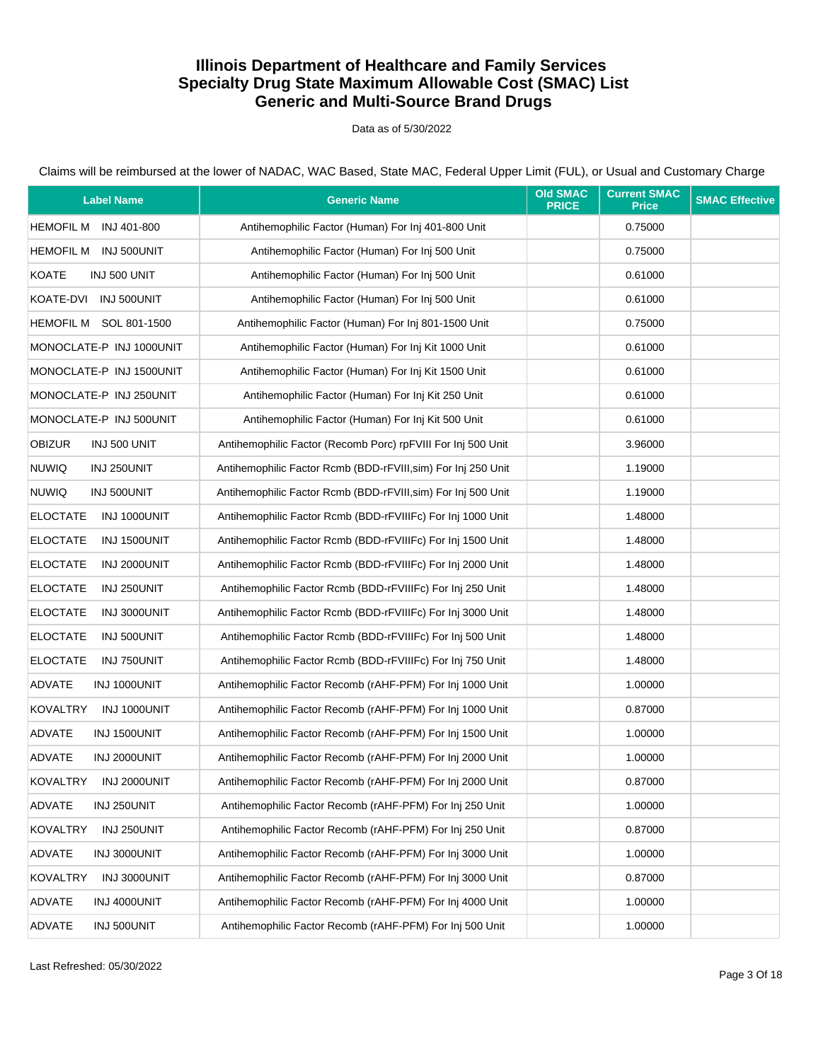Data as of 5/30/2022

| <b>Label Name</b>               | <b>Generic Name</b>                                           | <b>Old SMAC</b><br><b>PRICE</b> | <b>Current SMAC</b><br><b>Price</b> | <b>SMAC Effective</b> |
|---------------------------------|---------------------------------------------------------------|---------------------------------|-------------------------------------|-----------------------|
| <b>HEMOFIL M</b><br>INJ 401-800 | Antihemophilic Factor (Human) For Inj 401-800 Unit            |                                 | 0.75000                             |                       |
| <b>HEMOFIL M</b><br>INJ 500UNIT | Antihemophilic Factor (Human) For Inj 500 Unit                |                                 | 0.75000                             |                       |
| KOATE<br>INJ 500 UNIT           | Antihemophilic Factor (Human) For Inj 500 Unit                |                                 | 0.61000                             |                       |
| KOATE-DVI INJ 500UNIT           | Antihemophilic Factor (Human) For Inj 500 Unit                |                                 | 0.61000                             |                       |
| HEMOFIL M SOL 801-1500          | Antihemophilic Factor (Human) For Inj 801-1500 Unit           |                                 | 0.75000                             |                       |
| MONOCLATE-P INJ 1000UNIT        | Antihemophilic Factor (Human) For Inj Kit 1000 Unit           |                                 | 0.61000                             |                       |
| MONOCLATE-P INJ 1500UNIT        | Antihemophilic Factor (Human) For Inj Kit 1500 Unit           |                                 | 0.61000                             |                       |
| MONOCLATE-P INJ 250UNIT         | Antihemophilic Factor (Human) For Inj Kit 250 Unit            |                                 | 0.61000                             |                       |
| MONOCLATE-P INJ 500UNIT         | Antihemophilic Factor (Human) For Inj Kit 500 Unit            |                                 | 0.61000                             |                       |
| <b>OBIZUR</b><br>INJ 500 UNIT   | Antihemophilic Factor (Recomb Porc) rpFVIII For Inj 500 Unit  |                                 | 3.96000                             |                       |
| <b>NUWIQ</b><br>INJ 250UNIT     | Antihemophilic Factor Rcmb (BDD-rFVIII, sim) For Inj 250 Unit |                                 | 1.19000                             |                       |
| <b>NUWIQ</b><br>INJ 500UNIT     | Antihemophilic Factor Rcmb (BDD-rFVIII, sim) For Inj 500 Unit |                                 | 1.19000                             |                       |
| <b>ELOCTATE</b><br>INJ 1000UNIT | Antihemophilic Factor Rcmb (BDD-rFVIIIFc) For Inj 1000 Unit   |                                 | 1.48000                             |                       |
| <b>ELOCTATE</b><br>INJ 1500UNIT | Antihemophilic Factor Rcmb (BDD-rFVIIIFc) For Inj 1500 Unit   |                                 | 1.48000                             |                       |
| <b>ELOCTATE</b><br>INJ 2000UNIT | Antihemophilic Factor Rcmb (BDD-rFVIIIFc) For Inj 2000 Unit   |                                 | 1.48000                             |                       |
| <b>ELOCTATE</b><br>INJ 250UNIT  | Antihemophilic Factor Rcmb (BDD-rFVIIIFc) For Inj 250 Unit    |                                 | 1.48000                             |                       |
| <b>ELOCTATE</b><br>INJ 3000UNIT | Antihemophilic Factor Rcmb (BDD-rFVIIIFc) For Inj 3000 Unit   |                                 | 1.48000                             |                       |
| <b>ELOCTATE</b><br>INJ 500UNIT  | Antihemophilic Factor Rcmb (BDD-rFVIIIFc) For Inj 500 Unit    |                                 | 1.48000                             |                       |
| <b>ELOCTATE</b><br>INJ 750UNIT  | Antihemophilic Factor Rcmb (BDD-rFVIIIFc) For Inj 750 Unit    |                                 | 1.48000                             |                       |
| <b>ADVATE</b><br>INJ 1000UNIT   | Antihemophilic Factor Recomb (rAHF-PFM) For Inj 1000 Unit     |                                 | 1.00000                             |                       |
| <b>KOVALTRY</b><br>INJ 1000UNIT | Antihemophilic Factor Recomb (rAHF-PFM) For Inj 1000 Unit     |                                 | 0.87000                             |                       |
| ADVATE<br>INJ 1500UNIT          | Antihemophilic Factor Recomb (rAHF-PFM) For Inj 1500 Unit     |                                 | 1.00000                             |                       |
| ADVATE<br>INJ 2000UNIT          | Antihemophilic Factor Recomb (rAHF-PFM) For Inj 2000 Unit     |                                 | 1.00000                             |                       |
| KOVALTRY<br>INJ 2000UNIT        | Antihemophilic Factor Recomb (rAHF-PFM) For Inj 2000 Unit     |                                 | 0.87000                             |                       |
| ADVATE<br>INJ 250UNIT           | Antihemophilic Factor Recomb (rAHF-PFM) For Inj 250 Unit      |                                 | 1.00000                             |                       |
| <b>KOVALTRY</b><br>INJ 250UNIT  | Antihemophilic Factor Recomb (rAHF-PFM) For Inj 250 Unit      |                                 | 0.87000                             |                       |
| ADVATE<br>INJ 3000UNIT          | Antihemophilic Factor Recomb (rAHF-PFM) For Inj 3000 Unit     |                                 | 1.00000                             |                       |
| <b>KOVALTRY</b><br>INJ 3000UNIT | Antihemophilic Factor Recomb (rAHF-PFM) For Inj 3000 Unit     |                                 | 0.87000                             |                       |
| ADVATE<br>INJ 4000UNIT          | Antihemophilic Factor Recomb (rAHF-PFM) For Inj 4000 Unit     |                                 | 1.00000                             |                       |
| ADVATE<br>INJ 500UNIT           | Antihemophilic Factor Recomb (rAHF-PFM) For Inj 500 Unit      |                                 | 1.00000                             |                       |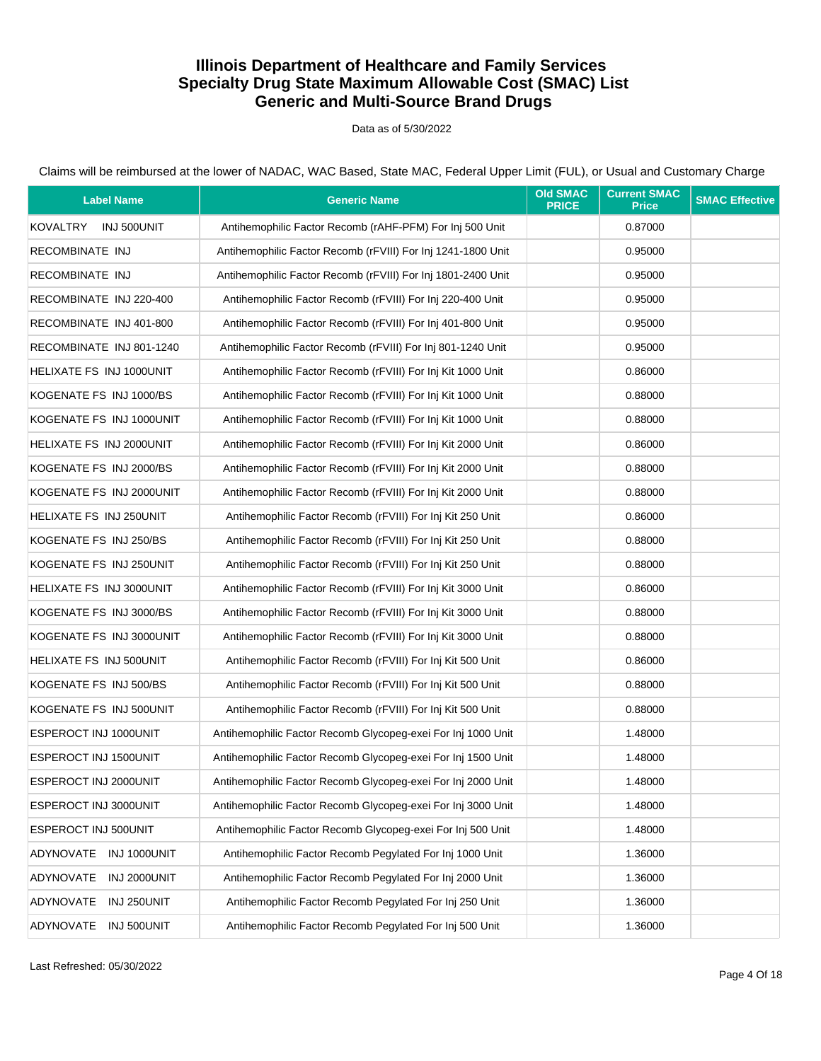Data as of 5/30/2022

| <b>Label Name</b>               | <b>Generic Name</b>                                          | <b>Old SMAC</b><br><b>PRICE</b> | <b>Current SMAC</b><br><b>Price</b> | <b>SMAC Effective</b> |
|---------------------------------|--------------------------------------------------------------|---------------------------------|-------------------------------------|-----------------------|
| KOVALTRY<br>INJ 500UNIT         | Antihemophilic Factor Recomb (rAHF-PFM) For Inj 500 Unit     |                                 | 0.87000                             |                       |
| RECOMBINATE INJ                 | Antihemophilic Factor Recomb (rFVIII) For Inj 1241-1800 Unit |                                 | 0.95000                             |                       |
| RECOMBINATE INJ                 | Antihemophilic Factor Recomb (rFVIII) For Inj 1801-2400 Unit |                                 | 0.95000                             |                       |
| RECOMBINATE INJ 220-400         | Antihemophilic Factor Recomb (rFVIII) For Inj 220-400 Unit   |                                 | 0.95000                             |                       |
| RECOMBINATE INJ 401-800         | Antihemophilic Factor Recomb (rFVIII) For Inj 401-800 Unit   |                                 | 0.95000                             |                       |
| RECOMBINATE INJ 801-1240        | Antihemophilic Factor Recomb (rFVIII) For Inj 801-1240 Unit  |                                 | 0.95000                             |                       |
| <b>HELIXATE FS INJ 1000UNIT</b> | Antihemophilic Factor Recomb (rFVIII) For Inj Kit 1000 Unit  |                                 | 0.86000                             |                       |
| KOGENATE FS INJ 1000/BS         | Antihemophilic Factor Recomb (rFVIII) For Inj Kit 1000 Unit  |                                 | 0.88000                             |                       |
| KOGENATE FS INJ 1000UNIT        | Antihemophilic Factor Recomb (rFVIII) For Inj Kit 1000 Unit  |                                 | 0.88000                             |                       |
| HELIXATE FS INJ 2000UNIT        | Antihemophilic Factor Recomb (rFVIII) For Inj Kit 2000 Unit  |                                 | 0.86000                             |                       |
| KOGENATE FS INJ 2000/BS         | Antihemophilic Factor Recomb (rFVIII) For Inj Kit 2000 Unit  |                                 | 0.88000                             |                       |
| KOGENATE FS INJ 2000UNIT        | Antihemophilic Factor Recomb (rFVIII) For Inj Kit 2000 Unit  |                                 | 0.88000                             |                       |
| HELIXATE FS INJ 250UNIT         | Antihemophilic Factor Recomb (rFVIII) For Inj Kit 250 Unit   |                                 | 0.86000                             |                       |
| KOGENATE FS INJ 250/BS          | Antihemophilic Factor Recomb (rFVIII) For Inj Kit 250 Unit   |                                 | 0.88000                             |                       |
| KOGENATE FS INJ 250UNIT         | Antihemophilic Factor Recomb (rFVIII) For Inj Kit 250 Unit   |                                 | 0.88000                             |                       |
| HELIXATE FS INJ 3000UNIT        | Antihemophilic Factor Recomb (rFVIII) For Inj Kit 3000 Unit  |                                 | 0.86000                             |                       |
| KOGENATE FS INJ 3000/BS         | Antihemophilic Factor Recomb (rFVIII) For Inj Kit 3000 Unit  |                                 | 0.88000                             |                       |
| KOGENATE FS INJ 3000UNIT        | Antihemophilic Factor Recomb (rFVIII) For Inj Kit 3000 Unit  |                                 | 0.88000                             |                       |
| HELIXATE FS INJ 500UNIT         | Antihemophilic Factor Recomb (rFVIII) For Inj Kit 500 Unit   |                                 | 0.86000                             |                       |
| KOGENATE FS INJ 500/BS          | Antihemophilic Factor Recomb (rFVIII) For Inj Kit 500 Unit   |                                 | 0.88000                             |                       |
| KOGENATE FS INJ 500UNIT         | Antihemophilic Factor Recomb (rFVIII) For Inj Kit 500 Unit   |                                 | 0.88000                             |                       |
| ESPEROCT INJ 1000UNIT           | Antihemophilic Factor Recomb Glycopeg-exei For Inj 1000 Unit |                                 | 1.48000                             |                       |
| ESPEROCT INJ 1500UNIT           | Antihemophilic Factor Recomb Glycopeq-exei For Inj 1500 Unit |                                 | 1.48000                             |                       |
| ESPEROCT INJ 2000UNIT           | Antihemophilic Factor Recomb Glycopeg-exei For Inj 2000 Unit |                                 | 1.48000                             |                       |
| ESPEROCT INJ 3000UNIT           | Antihemophilic Factor Recomb Glycopeg-exei For Inj 3000 Unit |                                 | 1.48000                             |                       |
| ESPEROCT INJ 500UNIT            | Antihemophilic Factor Recomb Glycopeg-exei For Inj 500 Unit  |                                 | 1.48000                             |                       |
| ADYNOVATE INJ 1000UNIT          | Antihemophilic Factor Recomb Pegylated For Inj 1000 Unit     |                                 | 1.36000                             |                       |
| ADYNOVATE INJ 2000UNIT          | Antihemophilic Factor Recomb Pegylated For Inj 2000 Unit     |                                 | 1.36000                             |                       |
| ADYNOVATE<br>INJ 250UNIT        | Antihemophilic Factor Recomb Pegylated For Inj 250 Unit      |                                 | 1.36000                             |                       |
| ADYNOVATE INJ 500UNIT           | Antihemophilic Factor Recomb Pegylated For Inj 500 Unit      |                                 | 1.36000                             |                       |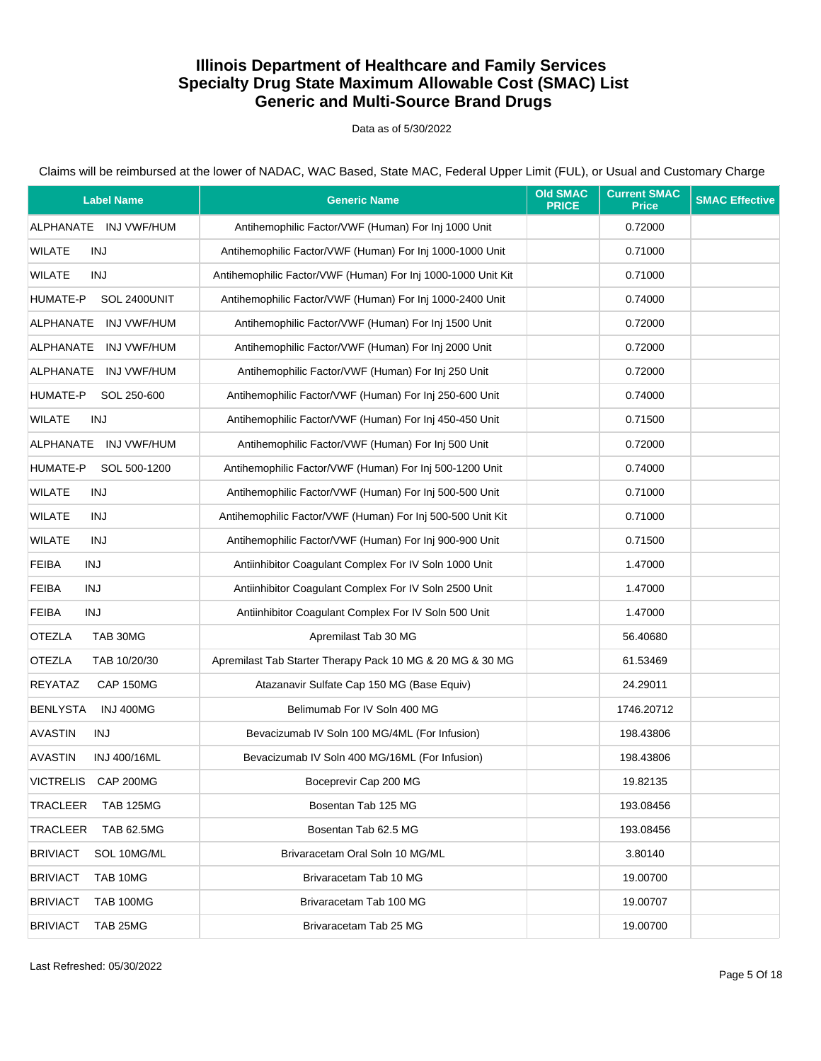#### Data as of 5/30/2022

| <b>Label Name</b>              | <b>Generic Name</b>                                          | <b>Old SMAC</b><br><b>PRICE</b> | <b>Current SMAC</b><br><b>Price</b> | <b>SMAC Effective</b> |
|--------------------------------|--------------------------------------------------------------|---------------------------------|-------------------------------------|-----------------------|
| ALPHANATE INJ VWF/HUM          | Antihemophilic Factor/VWF (Human) For Inj 1000 Unit          |                                 | 0.72000                             |                       |
| WILATE<br>INJ                  | Antihemophilic Factor/VWF (Human) For Inj 1000-1000 Unit     |                                 | 0.71000                             |                       |
| WILATE<br>INJ                  | Antihemophilic Factor/VWF (Human) For Inj 1000-1000 Unit Kit |                                 | 0.71000                             |                       |
| HUMATE-P<br>SOL 2400UNIT       | Antihemophilic Factor/VWF (Human) For Inj 1000-2400 Unit     |                                 | 0.74000                             |                       |
| ALPHANATE<br>INJ VWF/HUM       | Antihemophilic Factor/VWF (Human) For Inj 1500 Unit          |                                 | 0.72000                             |                       |
| ALPHANATE<br>INJ VWF/HUM       | Antihemophilic Factor/VWF (Human) For Inj 2000 Unit          |                                 | 0.72000                             |                       |
| ALPHANATE INJ VWF/HUM          | Antihemophilic Factor/VWF (Human) For Inj 250 Unit           |                                 | 0.72000                             |                       |
| HUMATE-P<br>SOL 250-600        | Antihemophilic Factor/VWF (Human) For Inj 250-600 Unit       |                                 | 0.74000                             |                       |
| WILATE<br>INJ                  | Antihemophilic Factor/VWF (Human) For Inj 450-450 Unit       |                                 | 0.71500                             |                       |
| ALPHANATE<br>INJ VWF/HUM       | Antihemophilic Factor/VWF (Human) For Inj 500 Unit           |                                 | 0.72000                             |                       |
| SOL 500-1200<br>HUMATE-P       | Antihemophilic Factor/VWF (Human) For Inj 500-1200 Unit      |                                 | 0.74000                             |                       |
| <b>WILATE</b><br>INJ           | Antihemophilic Factor/VWF (Human) For Inj 500-500 Unit       |                                 | 0.71000                             |                       |
| <b>WILATE</b><br>INJ           | Antihemophilic Factor/VWF (Human) For Inj 500-500 Unit Kit   |                                 | 0.71000                             |                       |
| <b>WILATE</b><br>INJ           | Antihemophilic Factor/VWF (Human) For Inj 900-900 Unit       |                                 | 0.71500                             |                       |
| <b>FEIBA</b><br>INJ            | Antiinhibitor Coagulant Complex For IV Soln 1000 Unit        |                                 | 1.47000                             |                       |
| <b>FEIBA</b><br>INJ            | Antiinhibitor Coagulant Complex For IV Soln 2500 Unit        |                                 | 1.47000                             |                       |
| <b>FEIBA</b><br><b>INJ</b>     | Antiinhibitor Coagulant Complex For IV Soln 500 Unit         |                                 | 1.47000                             |                       |
| <b>OTEZLA</b><br>TAB 30MG      | Apremilast Tab 30 MG                                         |                                 | 56.40680                            |                       |
| <b>OTEZLA</b><br>TAB 10/20/30  | Apremilast Tab Starter Therapy Pack 10 MG & 20 MG & 30 MG    |                                 | 61.53469                            |                       |
| REYATAZ<br>CAP 150MG           | Atazanavir Sulfate Cap 150 MG (Base Equiv)                   |                                 | 24.29011                            |                       |
| <b>BENLYSTA</b><br>INJ 400MG   | Belimumab For IV Soln 400 MG                                 |                                 | 1746.20712                          |                       |
| <b>AVASTIN</b><br>INJ          | Bevacizumab IV Soln 100 MG/4ML (For Infusion)                |                                 | 198.43806                           |                       |
| <b>AVASTIN</b><br>INJ 400/16ML | Bevacizumab IV Soln 400 MG/16ML (For Infusion)               |                                 | 198.43806                           |                       |
| <b>VICTRELIS</b><br>CAP 200MG  | Boceprevir Cap 200 MG                                        |                                 | 19.82135                            |                       |
| TRACLEER<br><b>TAB 125MG</b>   | Bosentan Tab 125 MG                                          |                                 | 193.08456                           |                       |
| TRACLEER<br><b>TAB 62.5MG</b>  | Bosentan Tab 62.5 MG                                         |                                 | 193.08456                           |                       |
| <b>BRIVIACT</b><br>SOL 10MG/ML | Brivaracetam Oral Soln 10 MG/ML                              |                                 | 3.80140                             |                       |
| <b>BRIVIACT</b><br>TAB 10MG    | Brivaracetam Tab 10 MG                                       |                                 | 19.00700                            |                       |
| <b>BRIVIACT</b><br>TAB 100MG   | Brivaracetam Tab 100 MG                                      |                                 | 19.00707                            |                       |
| <b>BRIVIACT</b><br>TAB 25MG    | Brivaracetam Tab 25 MG                                       |                                 | 19.00700                            |                       |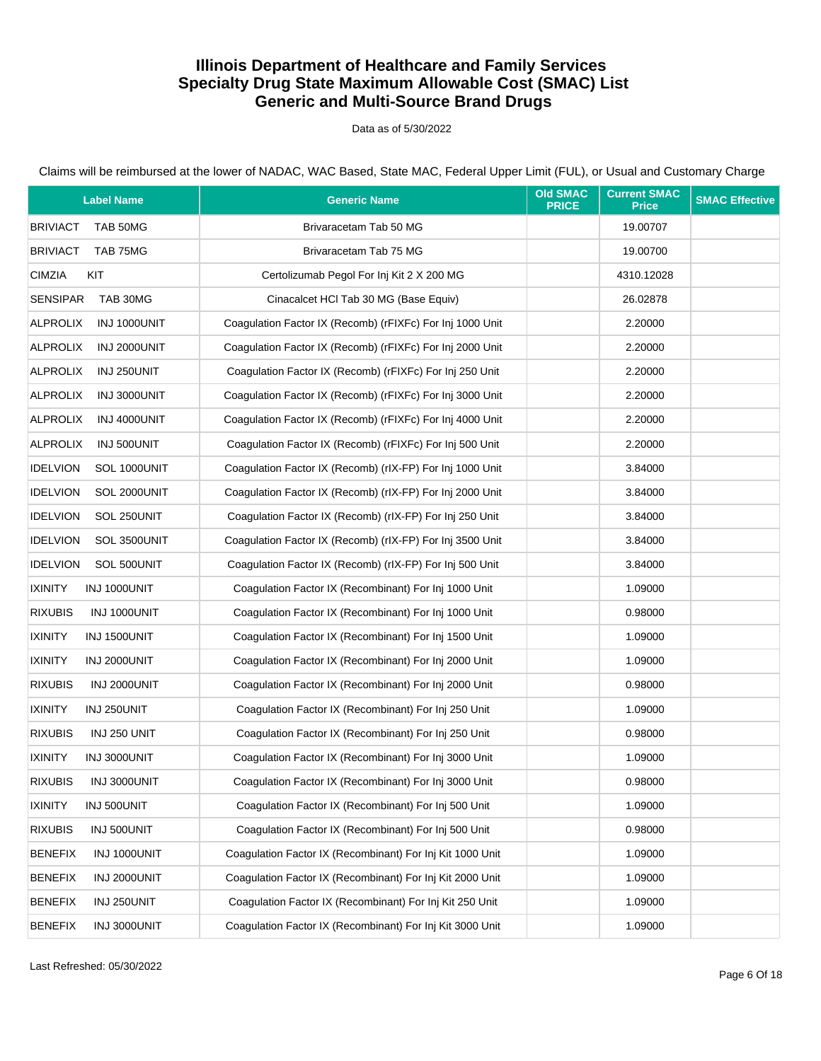Data as of 5/30/2022

| <b>Label Name</b>               | <b>Generic Name</b>                                       | <b>Old SMAC</b><br><b>PRICE</b> | <b>Current SMAC</b><br><b>Price</b> | <b>SMAC Effective</b> |
|---------------------------------|-----------------------------------------------------------|---------------------------------|-------------------------------------|-----------------------|
| <b>BRIVIACT</b><br>TAB 50MG     | Brivaracetam Tab 50 MG                                    |                                 | 19.00707                            |                       |
| <b>BRIVIACT</b><br>TAB 75MG     | Brivaracetam Tab 75 MG                                    |                                 | 19.00700                            |                       |
| <b>CIMZIA</b><br>KIT            | Certolizumab Pegol For Inj Kit 2 X 200 MG                 |                                 | 4310.12028                          |                       |
| <b>SENSIPAR</b><br>TAB 30MG     | Cinacalcet HCl Tab 30 MG (Base Equiv)                     |                                 | 26.02878                            |                       |
| <b>ALPROLIX</b><br>INJ 1000UNIT | Coagulation Factor IX (Recomb) (rFIXFc) For Inj 1000 Unit |                                 | 2.20000                             |                       |
| <b>ALPROLIX</b><br>INJ 2000UNIT | Coagulation Factor IX (Recomb) (rFIXFc) For Inj 2000 Unit |                                 | 2.20000                             |                       |
| ALPROLIX<br>INJ 250UNIT         | Coagulation Factor IX (Recomb) (rFIXFc) For Inj 250 Unit  |                                 | 2.20000                             |                       |
| <b>ALPROLIX</b><br>INJ 3000UNIT | Coagulation Factor IX (Recomb) (rFIXFc) For Inj 3000 Unit |                                 | 2.20000                             |                       |
| <b>ALPROLIX</b><br>INJ 4000UNIT | Coagulation Factor IX (Recomb) (rFIXFc) For Inj 4000 Unit |                                 | 2.20000                             |                       |
| <b>ALPROLIX</b><br>INJ 500UNIT  | Coagulation Factor IX (Recomb) (rFIXFc) For Inj 500 Unit  |                                 | 2.20000                             |                       |
| <b>IDELVION</b><br>SOL 1000UNIT | Coagulation Factor IX (Recomb) (rIX-FP) For Inj 1000 Unit |                                 | 3.84000                             |                       |
| <b>IDELVION</b><br>SOL 2000UNIT | Coagulation Factor IX (Recomb) (rIX-FP) For Inj 2000 Unit |                                 | 3.84000                             |                       |
| <b>IDELVION</b><br>SOL 250UNIT  | Coaqulation Factor IX (Recomb) (rIX-FP) For Inj 250 Unit  |                                 | 3.84000                             |                       |
| <b>IDELVION</b><br>SOL 3500UNIT | Coagulation Factor IX (Recomb) (rIX-FP) For Inj 3500 Unit |                                 | 3.84000                             |                       |
| <b>IDELVION</b><br>SOL 500UNIT  | Coaqulation Factor IX (Recomb) (rIX-FP) For Inj 500 Unit  |                                 | 3.84000                             |                       |
| <b>IXINITY</b><br>INJ 1000UNIT  | Coagulation Factor IX (Recombinant) For Inj 1000 Unit     |                                 | 1.09000                             |                       |
| <b>RIXUBIS</b><br>INJ 1000UNIT  | Coagulation Factor IX (Recombinant) For Inj 1000 Unit     |                                 | 0.98000                             |                       |
| <b>IXINITY</b><br>INJ 1500UNIT  | Coagulation Factor IX (Recombinant) For Inj 1500 Unit     |                                 | 1.09000                             |                       |
| <b>IXINITY</b><br>INJ 2000UNIT  | Coagulation Factor IX (Recombinant) For Inj 2000 Unit     |                                 | 1.09000                             |                       |
| <b>RIXUBIS</b><br>INJ 2000UNIT  | Coagulation Factor IX (Recombinant) For Inj 2000 Unit     |                                 | 0.98000                             |                       |
| <b>IXINITY</b><br>INJ 250UNIT   | Coagulation Factor IX (Recombinant) For Inj 250 Unit      |                                 | 1.09000                             |                       |
| <b>RIXUBIS</b><br>INJ 250 UNIT  | Coagulation Factor IX (Recombinant) For Inj 250 Unit      |                                 | 0.98000                             |                       |
| <b>IXINITY</b><br>INJ 3000UNIT  | Coaqulation Factor IX (Recombinant) For Inj 3000 Unit     |                                 | 1.09000                             |                       |
| <b>RIXUBIS</b><br>INJ 3000UNIT  | Coagulation Factor IX (Recombinant) For Inj 3000 Unit     |                                 | 0.98000                             |                       |
| <b>IXINITY</b><br>INJ 500UNIT   | Coagulation Factor IX (Recombinant) For Inj 500 Unit      |                                 | 1.09000                             |                       |
| <b>RIXUBIS</b><br>INJ 500UNIT   | Coagulation Factor IX (Recombinant) For Inj 500 Unit      |                                 | 0.98000                             |                       |
| <b>BENEFIX</b><br>INJ 1000UNIT  | Coagulation Factor IX (Recombinant) For Inj Kit 1000 Unit |                                 | 1.09000                             |                       |
| <b>BENEFIX</b><br>INJ 2000UNIT  | Coagulation Factor IX (Recombinant) For Inj Kit 2000 Unit |                                 | 1.09000                             |                       |
| <b>BENEFIX</b><br>INJ 250UNIT   | Coagulation Factor IX (Recombinant) For Inj Kit 250 Unit  |                                 | 1.09000                             |                       |
| <b>BENEFIX</b><br>INJ 3000UNIT  | Coagulation Factor IX (Recombinant) For Inj Kit 3000 Unit |                                 | 1.09000                             |                       |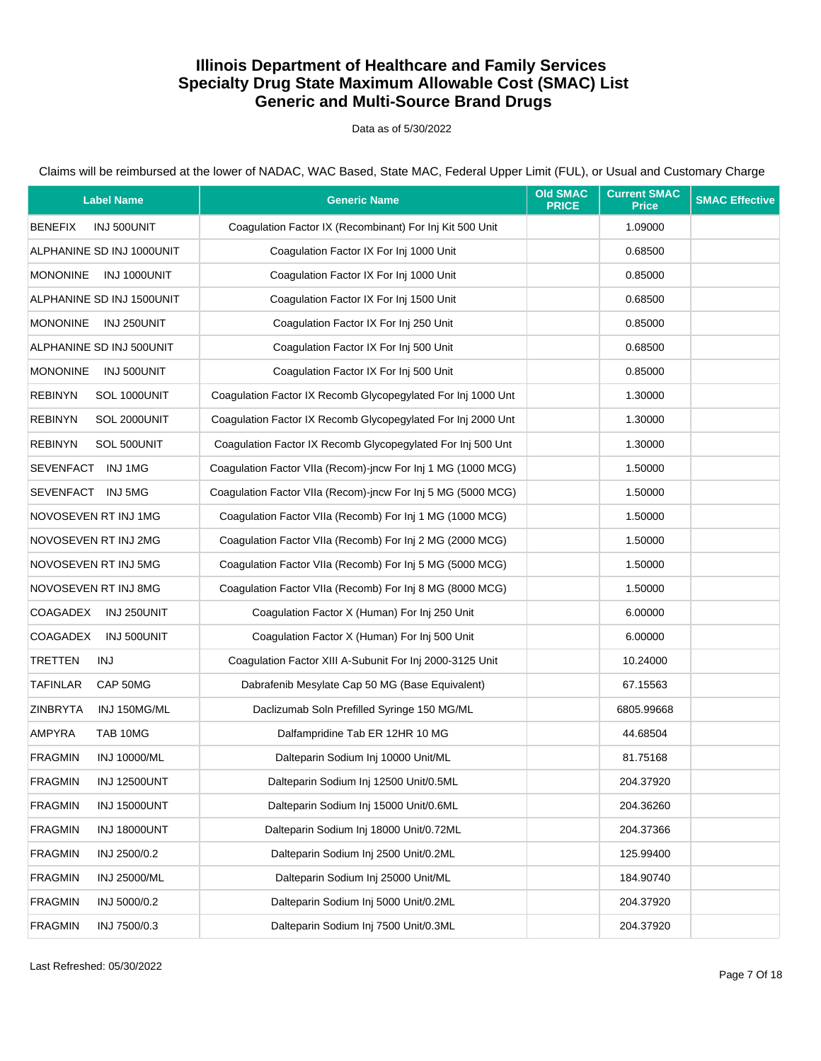Data as of 5/30/2022

| <b>Label Name</b>                     | <b>Generic Name</b>                                          | <b>Old SMAC</b><br><b>PRICE</b> | <b>Current SMAC</b><br><b>Price</b> | <b>SMAC Effective</b> |
|---------------------------------------|--------------------------------------------------------------|---------------------------------|-------------------------------------|-----------------------|
| <b>BENEFIX</b><br>INJ 500UNIT         | Coaqulation Factor IX (Recombinant) For Inj Kit 500 Unit     |                                 | 1.09000                             |                       |
| ALPHANINE SD INJ 1000UNIT             | Coagulation Factor IX For Inj 1000 Unit                      |                                 | 0.68500                             |                       |
| <b>MONONINE</b><br>INJ 1000UNIT       | Coagulation Factor IX For Inj 1000 Unit                      |                                 | 0.85000                             |                       |
| ALPHANINE SD INJ 1500UNIT             | Coagulation Factor IX For Inj 1500 Unit                      |                                 | 0.68500                             |                       |
| <b>MONONINE</b><br>INJ 250UNIT        | Coaqulation Factor IX For Inj 250 Unit                       |                                 | 0.85000                             |                       |
| ALPHANINE SD INJ 500UNIT              | Coagulation Factor IX For Inj 500 Unit                       |                                 | 0.68500                             |                       |
| <b>MONONINE</b><br>INJ 500UNIT        | Coagulation Factor IX For Inj 500 Unit                       |                                 | 0.85000                             |                       |
| <b>REBINYN</b><br>SOL 1000UNIT        | Coagulation Factor IX Recomb Glycopegylated For Inj 1000 Unt |                                 | 1.30000                             |                       |
| <b>REBINYN</b><br>SOL 2000UNIT        | Coagulation Factor IX Recomb Glycopegylated For Inj 2000 Unt |                                 | 1.30000                             |                       |
| <b>REBINYN</b><br>SOL 500UNIT         | Coagulation Factor IX Recomb Glycopegylated For Inj 500 Unt  |                                 | 1.30000                             |                       |
| SEVENFACT INJ1MG                      | Coagulation Factor VIIa (Recom)-jncw For Inj 1 MG (1000 MCG) |                                 | 1.50000                             |                       |
| SEVENFACT INJ 5MG                     | Coagulation Factor VIIa (Recom)-incw For Inj 5 MG (5000 MCG) |                                 | 1.50000                             |                       |
| NOVOSEVEN RT INJ 1MG                  | Coaqulation Factor VIIa (Recomb) For Inj 1 MG (1000 MCG)     |                                 | 1.50000                             |                       |
| NOVOSEVEN RT INJ 2MG                  | Coagulation Factor VIIa (Recomb) For Inj 2 MG (2000 MCG)     |                                 | 1.50000                             |                       |
| NOVOSEVEN RT INJ 5MG                  | Coagulation Factor VIIa (Recomb) For Inj 5 MG (5000 MCG)     |                                 | 1.50000                             |                       |
| NOVOSEVEN RT INJ 8MG                  | Coagulation Factor VIIa (Recomb) For Inj 8 MG (8000 MCG)     |                                 | 1.50000                             |                       |
| COAGADEX<br>INJ 250UNIT               | Coagulation Factor X (Human) For Inj 250 Unit                |                                 | 6.00000                             |                       |
| <b>COAGADEX</b><br>INJ 500UNIT        | Coagulation Factor X (Human) For Inj 500 Unit                |                                 | 6.00000                             |                       |
| <b>TRETTEN</b><br>INJ                 | Coagulation Factor XIII A-Subunit For Inj 2000-3125 Unit     |                                 | 10.24000                            |                       |
| <b>TAFINLAR</b><br>CAP 50MG           | Dabrafenib Mesylate Cap 50 MG (Base Equivalent)              |                                 | 67.15563                            |                       |
| <b>ZINBRYTA</b><br>INJ 150MG/ML       | Daclizumab Soln Prefilled Syringe 150 MG/ML                  |                                 | 6805.99668                          |                       |
| AMPYRA<br>TAB 10MG                    | Dalfampridine Tab ER 12HR 10 MG                              |                                 | 44.68504                            |                       |
| <b>FRAGMIN</b><br>INJ 10000/ML        | Dalteparin Sodium Inj 10000 Unit/ML                          |                                 | 81.75168                            |                       |
| <b>FRAGMIN</b><br><b>INJ 12500UNT</b> | Dalteparin Sodium Inj 12500 Unit/0.5ML                       |                                 | 204.37920                           |                       |
| <b>FRAGMIN</b><br><b>INJ 15000UNT</b> | Dalteparin Sodium Inj 15000 Unit/0.6ML                       |                                 | 204.36260                           |                       |
| <b>FRAGMIN</b><br><b>INJ 18000UNT</b> | Dalteparin Sodium Inj 18000 Unit/0.72ML                      |                                 | 204.37366                           |                       |
| <b>FRAGMIN</b><br>INJ 2500/0.2        | Dalteparin Sodium Inj 2500 Unit/0.2ML                        |                                 | 125.99400                           |                       |
| <b>FRAGMIN</b><br>INJ 25000/ML        | Dalteparin Sodium Inj 25000 Unit/ML                          |                                 | 184.90740                           |                       |
| <b>FRAGMIN</b><br>INJ 5000/0.2        | Dalteparin Sodium Inj 5000 Unit/0.2ML                        |                                 | 204.37920                           |                       |
| <b>FRAGMIN</b><br>INJ 7500/0.3        | Dalteparin Sodium Inj 7500 Unit/0.3ML                        |                                 | 204.37920                           |                       |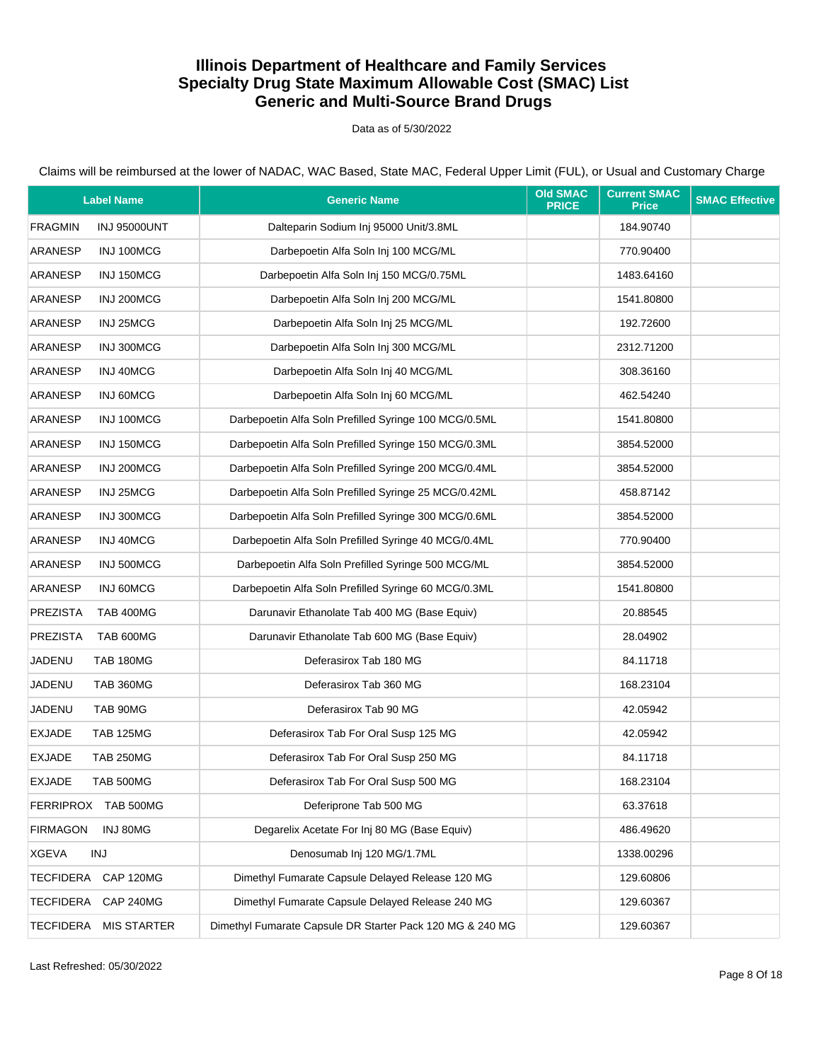Data as of 5/30/2022

| <b>Label Name</b>                 |                     | <b>Generic Name</b>                                       | <b>Old SMAC</b><br><b>PRICE</b> | <b>Current SMAC</b><br><b>Price</b> | <b>SMAC Effective</b> |
|-----------------------------------|---------------------|-----------------------------------------------------------|---------------------------------|-------------------------------------|-----------------------|
| <b>FRAGMIN</b>                    | <b>INJ 95000UNT</b> | Dalteparin Sodium Inj 95000 Unit/3.8ML                    |                                 | 184.90740                           |                       |
| ARANESP                           | INJ 100MCG          | Darbepoetin Alfa Soln Inj 100 MCG/ML                      |                                 | 770.90400                           |                       |
| ARANESP                           | INJ 150MCG          | Darbepoetin Alfa Soln Inj 150 MCG/0.75ML                  |                                 | 1483.64160                          |                       |
| ARANESP                           | INJ 200MCG          | Darbepoetin Alfa Soln Inj 200 MCG/ML                      |                                 | 1541.80800                          |                       |
| ARANESP                           | INJ 25MCG           | Darbepoetin Alfa Soln Inj 25 MCG/ML                       |                                 | 192.72600                           |                       |
| ARANESP                           | INJ 300MCG          | Darbepoetin Alfa Soln Inj 300 MCG/ML                      |                                 | 2312.71200                          |                       |
| ARANESP                           | INJ 40MCG           | Darbepoetin Alfa Soln Inj 40 MCG/ML                       |                                 | 308.36160                           |                       |
| ARANESP                           | INJ 60MCG           | Darbepoetin Alfa Soln Inj 60 MCG/ML                       |                                 | 462.54240                           |                       |
| ARANESP                           | INJ 100MCG          | Darbepoetin Alfa Soln Prefilled Syringe 100 MCG/0.5ML     |                                 | 1541.80800                          |                       |
| ARANESP                           | INJ 150MCG          | Darbepoetin Alfa Soln Prefilled Syringe 150 MCG/0.3ML     |                                 | 3854.52000                          |                       |
| ARANESP                           | INJ 200MCG          | Darbepoetin Alfa Soln Prefilled Syringe 200 MCG/0.4ML     |                                 | 3854.52000                          |                       |
| ARANESP                           | INJ 25MCG           | Darbepoetin Alfa Soln Prefilled Syringe 25 MCG/0.42ML     |                                 | 458.87142                           |                       |
| ARANESP                           | INJ 300MCG          | Darbepoetin Alfa Soln Prefilled Syringe 300 MCG/0.6ML     |                                 | 3854.52000                          |                       |
| ARANESP                           | INJ 40MCG           | Darbepoetin Alfa Soln Prefilled Syringe 40 MCG/0.4ML      |                                 | 770.90400                           |                       |
| ARANESP                           | INJ 500MCG          | Darbepoetin Alfa Soln Prefilled Syringe 500 MCG/ML        |                                 | 3854.52000                          |                       |
| ARANESP                           | INJ 60MCG           | Darbepoetin Alfa Soln Prefilled Syringe 60 MCG/0.3ML      |                                 | 1541.80800                          |                       |
| <b>PREZISTA</b>                   | <b>TAB 400MG</b>    | Darunavir Ethanolate Tab 400 MG (Base Equiv)              |                                 | 20.88545                            |                       |
| <b>PREZISTA</b>                   | TAB 600MG           | Darunavir Ethanolate Tab 600 MG (Base Equiv)              |                                 | 28.04902                            |                       |
| JADENU<br><b>TAB 180MG</b>        |                     | Deferasirox Tab 180 MG                                    |                                 | 84.11718                            |                       |
| JADENU<br>TAB 360MG               |                     | Deferasirox Tab 360 MG                                    |                                 | 168.23104                           |                       |
| JADENU<br>TAB 90MG                |                     | Deferasirox Tab 90 MG                                     |                                 | 42.05942                            |                       |
| <b>EXJADE</b><br><b>TAB 125MG</b> |                     | Deferasirox Tab For Oral Susp 125 MG                      |                                 | 42.05942                            |                       |
| <b>EXJADE</b><br><b>TAB 250MG</b> |                     | Deferasirox Tab For Oral Susp 250 MG                      |                                 | 84.11718                            |                       |
| <b>EXJADE</b><br>TAB 500MG        |                     | Deferasirox Tab For Oral Susp 500 MG                      |                                 | 168.23104                           |                       |
| FERRIPROX TAB 500MG               |                     | Deferiprone Tab 500 MG                                    |                                 | 63.37618                            |                       |
| <b>FIRMAGON</b>                   | INJ 80MG            | Degarelix Acetate For Inj 80 MG (Base Equiv)              |                                 | 486.49620                           |                       |
| <b>XGEVA</b><br><b>INJ</b>        |                     | Denosumab Inj 120 MG/1.7ML                                |                                 | 1338.00296                          |                       |
| TECFIDERA                         | CAP 120MG           | Dimethyl Fumarate Capsule Delayed Release 120 MG          |                                 | 129.60806                           |                       |
| <b>TECFIDERA</b>                  | CAP 240MG           | Dimethyl Fumarate Capsule Delayed Release 240 MG          |                                 | 129.60367                           |                       |
| <b>TECFIDERA</b>                  | <b>MIS STARTER</b>  | Dimethyl Fumarate Capsule DR Starter Pack 120 MG & 240 MG |                                 | 129.60367                           |                       |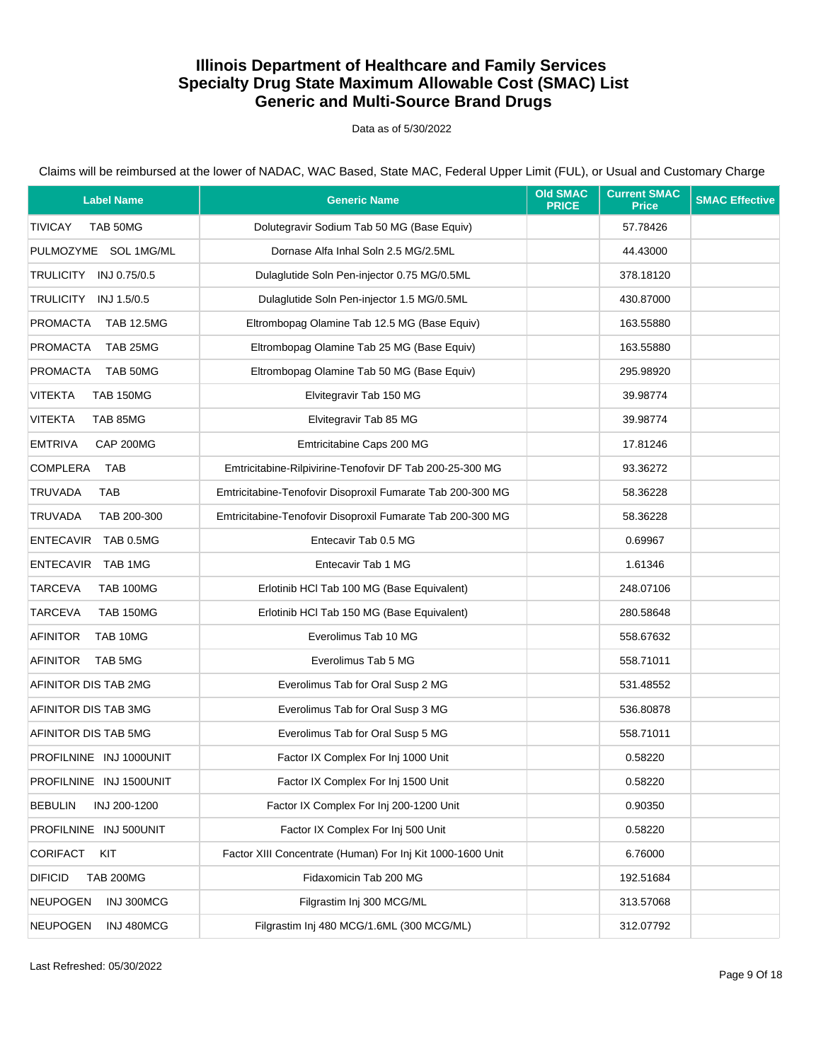Data as of 5/30/2022

Claims will be reimbursed at the lower of NADAC, WAC Based, State MAC, Federal Upper Limit (FUL), or Usual and Customary Charge

| <b>Label Name</b>                  | <b>Generic Name</b>                                        | <b>Old SMAC</b><br><b>PRICE</b> | <b>Current SMAC</b><br><b>Price</b> | <b>SMAC Effective</b> |
|------------------------------------|------------------------------------------------------------|---------------------------------|-------------------------------------|-----------------------|
| <b>TIVICAY</b><br>TAB 50MG         | Dolutegravir Sodium Tab 50 MG (Base Equiv)                 |                                 | 57.78426                            |                       |
| PULMOZYME SOL 1MG/ML               | Dornase Alfa Inhal Soln 2.5 MG/2.5ML                       |                                 | 44.43000                            |                       |
| TRULICITY INJ 0.75/0.5             | Dulaglutide Soln Pen-injector 0.75 MG/0.5ML                |                                 | 378.18120                           |                       |
| TRULICITY<br>INJ 1.5/0.5           | Dulaglutide Soln Pen-injector 1.5 MG/0.5ML                 |                                 | 430.87000                           |                       |
| PROMACTA<br><b>TAB 12.5MG</b>      | Eltrombopag Olamine Tab 12.5 MG (Base Equiv)               |                                 | 163.55880                           |                       |
| <b>PROMACTA</b><br>TAB 25MG        | Eltrombopag Olamine Tab 25 MG (Base Equiv)                 |                                 | 163.55880                           |                       |
| <b>PROMACTA</b><br>TAB 50MG        | Eltrombopag Olamine Tab 50 MG (Base Equiv)                 |                                 | 295.98920                           |                       |
| <b>VITEKTA</b><br><b>TAB 150MG</b> | Elvitegravir Tab 150 MG                                    |                                 | 39.98774                            |                       |
| <b>VITEKTA</b><br>TAB 85MG         | Elvitegravir Tab 85 MG                                     |                                 | 39.98774                            |                       |
| <b>EMTRIVA</b><br>CAP 200MG        | Emtricitabine Caps 200 MG                                  |                                 | 17.81246                            |                       |
| <b>COMPLERA</b><br>TAB             | Emtricitabine-Rilpivirine-Tenofovir DF Tab 200-25-300 MG   |                                 | 93.36272                            |                       |
| <b>TRUVADA</b><br>TAB              | Emtricitabine-Tenofovir Disoproxil Fumarate Tab 200-300 MG |                                 | 58.36228                            |                       |
| TRUVADA<br>TAB 200-300             | Emtricitabine-Tenofovir Disoproxil Fumarate Tab 200-300 MG |                                 | 58.36228                            |                       |
| ENTECAVIR TAB 0.5MG                | Entecavir Tab 0.5 MG                                       |                                 | 0.69967                             |                       |
| ENTECAVIR TAB 1MG                  | Entecavir Tab 1 MG                                         |                                 | 1.61346                             |                       |
| <b>TARCEVA</b><br><b>TAB 100MG</b> | Erlotinib HCl Tab 100 MG (Base Equivalent)                 |                                 | 248.07106                           |                       |
| <b>TARCEVA</b><br><b>TAB 150MG</b> | Erlotinib HCl Tab 150 MG (Base Equivalent)                 |                                 | 280.58648                           |                       |
| <b>AFINITOR</b><br>TAB 10MG        | Everolimus Tab 10 MG                                       |                                 | 558.67632                           |                       |
| <b>AFINITOR</b><br>TAB 5MG         | Everolimus Tab 5 MG                                        |                                 | 558.71011                           |                       |
| AFINITOR DIS TAB 2MG               | Everolimus Tab for Oral Susp 2 MG                          |                                 | 531.48552                           |                       |
| AFINITOR DIS TAB 3MG               | Everolimus Tab for Oral Susp 3 MG                          |                                 | 536.80878                           |                       |
| AFINITOR DIS TAB 5MG               | Everolimus Tab for Oral Susp 5 MG                          |                                 | 558.71011                           |                       |
| PROFILNINE INJ 1000UNIT            | Factor IX Complex For Inj 1000 Unit                        |                                 | 0.58220                             |                       |
| PROFILNINE INJ 1500UNIT            | Factor IX Complex For Inj 1500 Unit                        |                                 | 0.58220                             |                       |
| <b>BEBULIN</b><br>INJ 200-1200     | Factor IX Complex For Inj 200-1200 Unit                    |                                 | 0.90350                             |                       |
| PROFILNINE INJ 500UNIT             | Factor IX Complex For Inj 500 Unit                         |                                 | 0.58220                             |                       |
| <b>CORIFACT</b><br>KIT             | Factor XIII Concentrate (Human) For Inj Kit 1000-1600 Unit |                                 | 6.76000                             |                       |
| <b>DIFICID</b><br><b>TAB 200MG</b> | Fidaxomicin Tab 200 MG                                     |                                 | 192.51684                           |                       |
| <b>NEUPOGEN</b><br>INJ 300MCG      | Filgrastim Inj 300 MCG/ML                                  |                                 | 313.57068                           |                       |
| INJ 480MCG<br><b>NEUPOGEN</b>      | Filgrastim Inj 480 MCG/1.6ML (300 MCG/ML)                  |                                 | 312.07792                           |                       |

Last Refreshed: 05/30/2022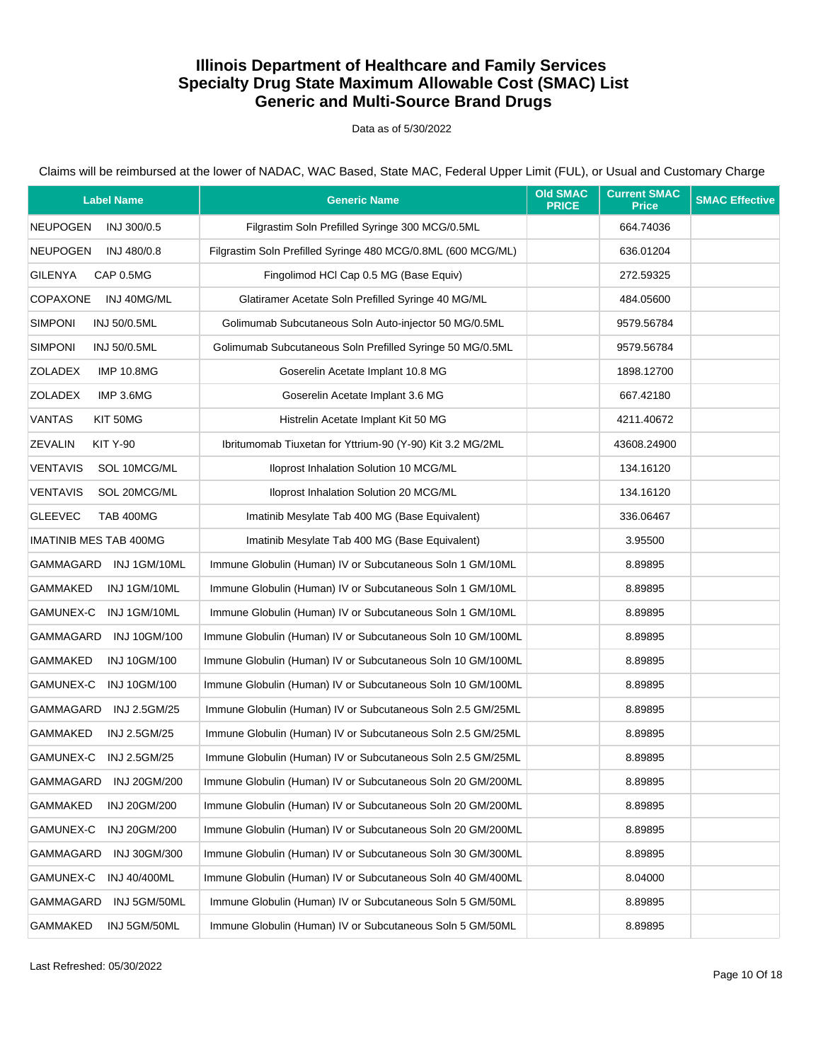Data as of 5/30/2022

| <b>Label Name</b>                  | <b>Generic Name</b>                                          | <b>Old SMAC</b><br><b>PRICE</b> | <b>Current SMAC</b><br><b>Price</b> | <b>SMAC Effective</b> |
|------------------------------------|--------------------------------------------------------------|---------------------------------|-------------------------------------|-----------------------|
| <b>NEUPOGEN</b><br>INJ 300/0.5     | Filgrastim Soln Prefilled Syringe 300 MCG/0.5ML              |                                 | 664.74036                           |                       |
| <b>NEUPOGEN</b><br>INJ 480/0.8     | Filgrastim Soln Prefilled Syringe 480 MCG/0.8ML (600 MCG/ML) |                                 | 636.01204                           |                       |
| <b>GILENYA</b><br>CAP 0.5MG        | Fingolimod HCl Cap 0.5 MG (Base Equiv)                       |                                 | 272.59325                           |                       |
| <b>COPAXONE</b><br>INJ 40MG/ML     | Glatiramer Acetate Soln Prefilled Syringe 40 MG/ML           |                                 | 484.05600                           |                       |
| <b>SIMPONI</b><br>INJ 50/0.5ML     | Golimumab Subcutaneous Soln Auto-injector 50 MG/0.5ML        |                                 | 9579.56784                          |                       |
| <b>SIMPONI</b><br>INJ 50/0.5ML     | Golimumab Subcutaneous Soln Prefilled Syringe 50 MG/0.5ML    |                                 | 9579.56784                          |                       |
| ZOLADEX<br><b>IMP 10.8MG</b>       | Goserelin Acetate Implant 10.8 MG                            |                                 | 1898.12700                          |                       |
| <b>ZOLADEX</b><br>IMP 3.6MG        | Goserelin Acetate Implant 3.6 MG                             |                                 | 667.42180                           |                       |
| <b>VANTAS</b><br>KIT 50MG          | Histrelin Acetate Implant Kit 50 MG                          |                                 | 4211.40672                          |                       |
| <b>ZEVALIN</b><br><b>KIT Y-90</b>  | Ibritumomab Tiuxetan for Yttrium-90 (Y-90) Kit 3.2 MG/2ML    |                                 | 43608.24900                         |                       |
| <b>VENTAVIS</b><br>SOL 10MCG/ML    | Iloprost Inhalation Solution 10 MCG/ML                       |                                 | 134.16120                           |                       |
| <b>VENTAVIS</b><br>SOL 20MCG/ML    | Iloprost Inhalation Solution 20 MCG/ML                       |                                 | 134.16120                           |                       |
| <b>GLEEVEC</b><br><b>TAB 400MG</b> | Imatinib Mesylate Tab 400 MG (Base Equivalent)               |                                 | 336.06467                           |                       |
| <b>IMATINIB MES TAB 400MG</b>      | Imatinib Mesylate Tab 400 MG (Base Equivalent)               |                                 | 3.95500                             |                       |
| GAMMAGARD INJ1GM/10ML              | Immune Globulin (Human) IV or Subcutaneous Soln 1 GM/10ML    |                                 | 8.89895                             |                       |
| GAMMAKED<br>INJ 1GM/10ML           | Immune Globulin (Human) IV or Subcutaneous Soln 1 GM/10ML    |                                 | 8.89895                             |                       |
| GAMUNEX-C INJ 1GM/10ML             | Immune Globulin (Human) IV or Subcutaneous Soln 1 GM/10ML    |                                 | 8.89895                             |                       |
| GAMMAGARD<br><b>INJ 10GM/100</b>   | Immune Globulin (Human) IV or Subcutaneous Soln 10 GM/100ML  |                                 | 8.89895                             |                       |
| GAMMAKED<br>INJ 10GM/100           | Immune Globulin (Human) IV or Subcutaneous Soln 10 GM/100ML  |                                 | 8.89895                             |                       |
| GAMUNEX-C<br>INJ 10GM/100          | Immune Globulin (Human) IV or Subcutaneous Soln 10 GM/100ML  |                                 | 8.89895                             |                       |
| GAMMAGARD INJ 2.5GM/25             | Immune Globulin (Human) IV or Subcutaneous Soln 2.5 GM/25ML  |                                 | 8.89895                             |                       |
| GAMMAKED<br>INJ 2.5GM/25           | Immune Globulin (Human) IV or Subcutaneous Soln 2.5 GM/25ML  |                                 | 8.89895                             |                       |
| GAMUNEX-C INJ 2.5GM/25             | Immune Globulin (Human) IV or Subcutaneous Soln 2.5 GM/25ML  |                                 | 8.89895                             |                       |
| GAMMAGARD INJ 20GM/200             | Immune Globulin (Human) IV or Subcutaneous Soln 20 GM/200ML  |                                 | 8.89895                             |                       |
| <b>GAMMAKED</b><br>INJ 20GM/200    | Immune Globulin (Human) IV or Subcutaneous Soln 20 GM/200ML  |                                 | 8.89895                             |                       |
| GAMUNEX-C<br>INJ 20GM/200          | Immune Globulin (Human) IV or Subcutaneous Soln 20 GM/200ML  |                                 | 8.89895                             |                       |
| GAMMAGARD<br>INJ 30GM/300          | Immune Globulin (Human) IV or Subcutaneous Soln 30 GM/300ML  |                                 | 8.89895                             |                       |
| GAMUNEX-C<br><b>INJ 40/400ML</b>   | Immune Globulin (Human) IV or Subcutaneous Soln 40 GM/400ML  |                                 | 8.04000                             |                       |
| GAMMAGARD<br>INJ 5GM/50ML          | Immune Globulin (Human) IV or Subcutaneous Soln 5 GM/50ML    |                                 | 8.89895                             |                       |
| GAMMAKED<br>INJ 5GM/50ML           | Immune Globulin (Human) IV or Subcutaneous Soln 5 GM/50ML    |                                 | 8.89895                             |                       |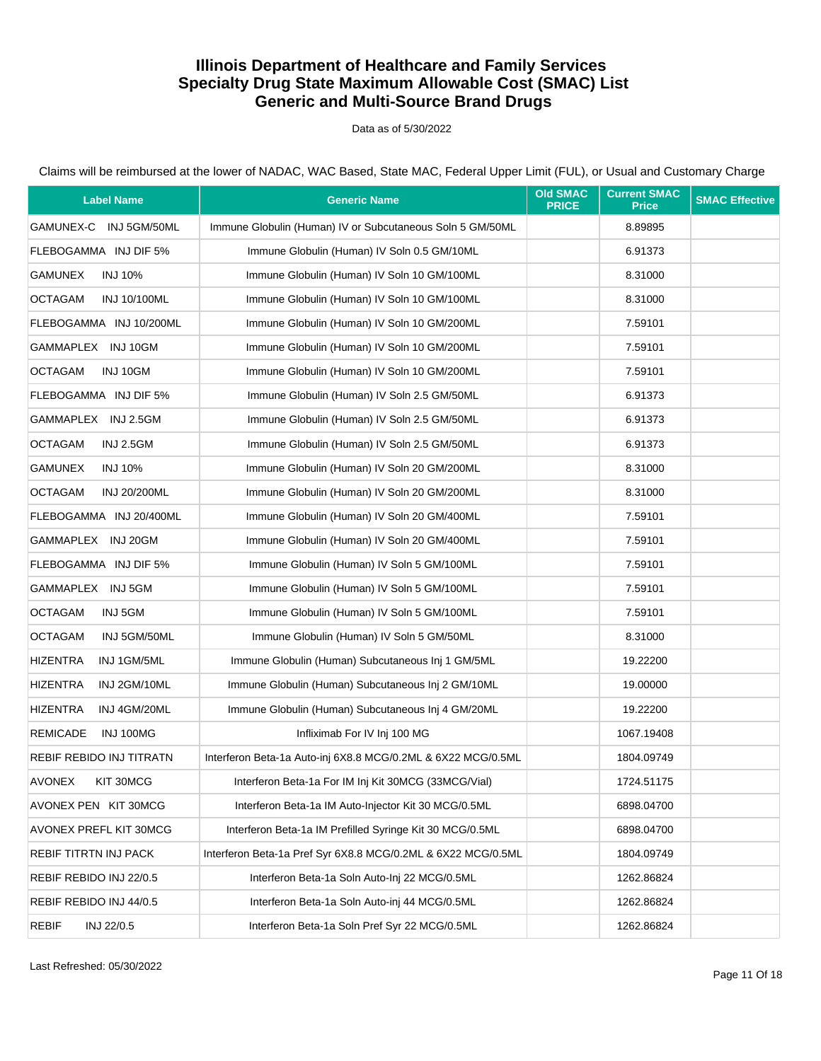Data as of 5/30/2022

| <b>Label Name</b>                     | <b>Generic Name</b>                                          | <b>Old SMAC</b><br><b>PRICE</b> | <b>Current SMAC</b><br><b>Price</b> | <b>SMAC Effective</b> |
|---------------------------------------|--------------------------------------------------------------|---------------------------------|-------------------------------------|-----------------------|
| GAMUNEX-C INJ 5GM/50ML                | Immune Globulin (Human) IV or Subcutaneous Soln 5 GM/50ML    |                                 | 8.89895                             |                       |
| FLEBOGAMMA INJ DIF 5%                 | Immune Globulin (Human) IV Soln 0.5 GM/10ML                  |                                 | 6.91373                             |                       |
| <b>GAMUNEX</b><br><b>INJ 10%</b>      | Immune Globulin (Human) IV Soln 10 GM/100ML                  |                                 | 8.31000                             |                       |
| <b>OCTAGAM</b><br>INJ 10/100ML        | Immune Globulin (Human) IV Soln 10 GM/100ML                  |                                 | 8.31000                             |                       |
| FLEBOGAMMA INJ 10/200ML               | Immune Globulin (Human) IV Soln 10 GM/200ML                  |                                 | 7.59101                             |                       |
| GAMMAPLEX INJ 10GM                    | Immune Globulin (Human) IV Soln 10 GM/200ML                  |                                 | 7.59101                             |                       |
| <b>OCTAGAM</b><br>INJ 10GM            | Immune Globulin (Human) IV Soln 10 GM/200ML                  |                                 | 7.59101                             |                       |
| FLEBOGAMMA INJ DIF 5%                 | Immune Globulin (Human) IV Soln 2.5 GM/50ML                  |                                 | 6.91373                             |                       |
| GAMMAPLEX INJ 2.5GM                   | Immune Globulin (Human) IV Soln 2.5 GM/50ML                  |                                 | 6.91373                             |                       |
| <b>OCTAGAM</b><br><b>INJ 2.5GM</b>    | Immune Globulin (Human) IV Soln 2.5 GM/50ML                  |                                 | 6.91373                             |                       |
| <b>GAMUNEX</b><br><b>INJ 10%</b>      | Immune Globulin (Human) IV Soln 20 GM/200ML                  |                                 | 8.31000                             |                       |
| <b>OCTAGAM</b><br><b>INJ 20/200ML</b> | Immune Globulin (Human) IV Soln 20 GM/200ML                  |                                 | 8.31000                             |                       |
| FLEBOGAMMA INJ 20/400ML               | Immune Globulin (Human) IV Soln 20 GM/400ML                  |                                 | 7.59101                             |                       |
| GAMMAPLEX INJ 20GM                    | Immune Globulin (Human) IV Soln 20 GM/400ML                  |                                 | 7.59101                             |                       |
| FLEBOGAMMA INJ DIF 5%                 | Immune Globulin (Human) IV Soln 5 GM/100ML                   |                                 | 7.59101                             |                       |
| GAMMAPLEX INJ 5GM                     | Immune Globulin (Human) IV Soln 5 GM/100ML                   |                                 | 7.59101                             |                       |
| <b>OCTAGAM</b><br>INJ 5GM             | Immune Globulin (Human) IV Soln 5 GM/100ML                   |                                 | 7.59101                             |                       |
| <b>OCTAGAM</b><br>INJ 5GM/50ML        | Immune Globulin (Human) IV Soln 5 GM/50ML                    |                                 | 8.31000                             |                       |
| <b>HIZENTRA</b><br>INJ 1GM/5ML        | Immune Globulin (Human) Subcutaneous Inj 1 GM/5ML            |                                 | 19.22200                            |                       |
| <b>HIZENTRA</b><br>INJ 2GM/10ML       | Immune Globulin (Human) Subcutaneous Inj 2 GM/10ML           |                                 | 19.00000                            |                       |
| <b>HIZENTRA</b><br>INJ 4GM/20ML       | Immune Globulin (Human) Subcutaneous Inj 4 GM/20ML           |                                 | 19.22200                            |                       |
| <b>REMICADE</b><br>INJ 100MG          | Infliximab For IV Inj 100 MG                                 |                                 | 1067.19408                          |                       |
| REBIF REBIDO INJ TITRATN              | Interferon Beta-1a Auto-inj 6X8.8 MCG/0.2ML & 6X22 MCG/0.5ML |                                 | 1804.09749                          |                       |
| AVONEX<br>KIT 30MCG                   | Interferon Beta-1a For IM Inj Kit 30MCG (33MCG/Vial)         |                                 | 1724.51175                          |                       |
| AVONEX PEN KIT 30MCG                  | Interferon Beta-1a IM Auto-Injector Kit 30 MCG/0.5ML         |                                 | 6898.04700                          |                       |
| AVONEX PREFL KIT 30MCG                | Interferon Beta-1a IM Prefilled Syringe Kit 30 MCG/0.5ML     |                                 | 6898.04700                          |                       |
| REBIF TITRTN INJ PACK                 | Interferon Beta-1a Pref Syr 6X8.8 MCG/0.2ML & 6X22 MCG/0.5ML |                                 | 1804.09749                          |                       |
| REBIF REBIDO INJ 22/0.5               | Interferon Beta-1a Soln Auto-Inj 22 MCG/0.5ML                |                                 | 1262.86824                          |                       |
| REBIF REBIDO INJ 44/0.5               | Interferon Beta-1a Soln Auto-inj 44 MCG/0.5ML                |                                 | 1262.86824                          |                       |
| <b>REBIF</b><br>INJ 22/0.5            | Interferon Beta-1a Soln Pref Syr 22 MCG/0.5ML                |                                 | 1262.86824                          |                       |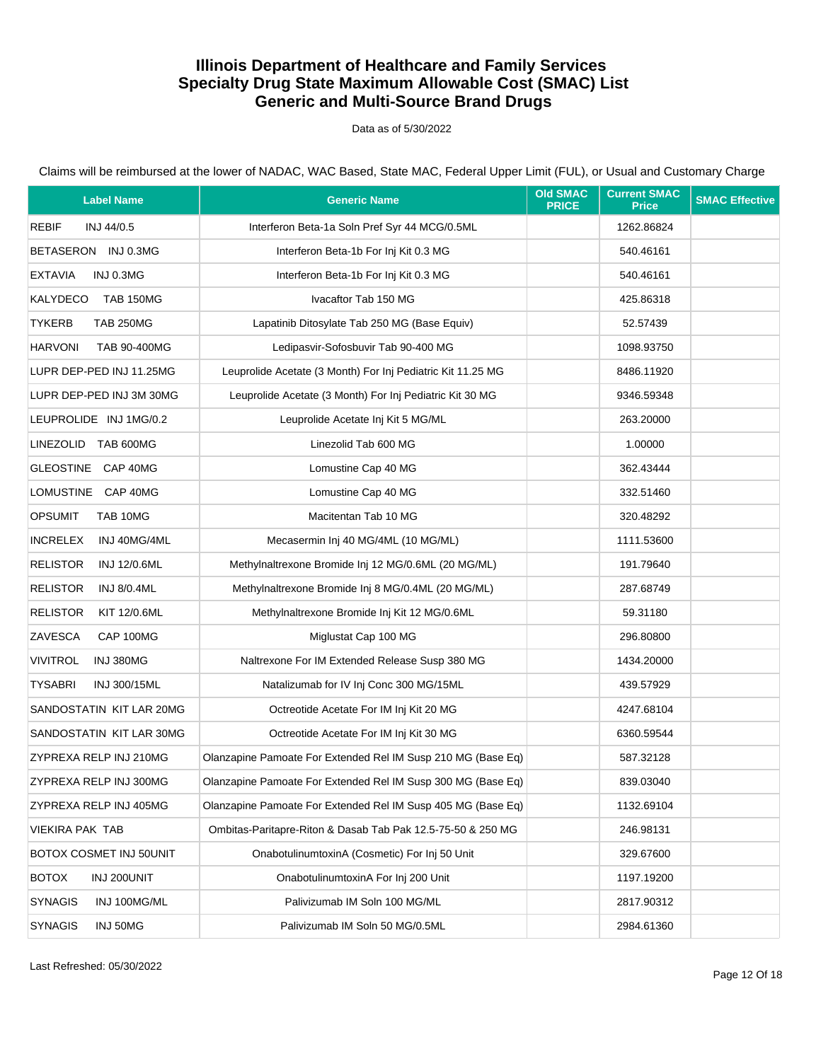Data as of 5/30/2022

| <b>Label Name</b>                      | <b>Generic Name</b>                                          | <b>Old SMAC</b><br><b>PRICE</b> | <b>Current SMAC</b><br><b>Price</b> | <b>SMAC Effective</b> |
|----------------------------------------|--------------------------------------------------------------|---------------------------------|-------------------------------------|-----------------------|
| REBIF<br>INJ 44/0.5                    | Interferon Beta-1a Soln Pref Syr 44 MCG/0.5ML                |                                 | 1262.86824                          |                       |
| BETASERON INJ 0.3MG                    | Interferon Beta-1b For Inj Kit 0.3 MG                        |                                 | 540.46161                           |                       |
| <b>EXTAVIA</b><br>INJ 0.3MG            | Interferon Beta-1b For Inj Kit 0.3 MG                        |                                 | 540.46161                           |                       |
| KALYDECO<br><b>TAB 150MG</b>           | Ivacaftor Tab 150 MG                                         |                                 | 425.86318                           |                       |
| <b>TYKERB</b><br><b>TAB 250MG</b>      | Lapatinib Ditosylate Tab 250 MG (Base Equiv)                 |                                 | 52.57439                            |                       |
| <b>HARVONI</b><br>TAB 90-400MG         | Ledipasvir-Sofosbuvir Tab 90-400 MG                          |                                 | 1098.93750                          |                       |
| LUPR DEP-PED INJ 11.25MG               | Leuprolide Acetate (3 Month) For Inj Pediatric Kit 11.25 MG  |                                 | 8486.11920                          |                       |
| LUPR DEP-PED INJ 3M 30MG               | Leuprolide Acetate (3 Month) For Inj Pediatric Kit 30 MG     |                                 | 9346.59348                          |                       |
| LEUPROLIDE INJ 1MG/0.2                 | Leuprolide Acetate Inj Kit 5 MG/ML                           |                                 | 263.20000                           |                       |
| LINEZOLID TAB 600MG                    | Linezolid Tab 600 MG                                         |                                 | 1.00000                             |                       |
| GLEOSTINE CAP 40MG                     | Lomustine Cap 40 MG                                          |                                 | 362.43444                           |                       |
| LOMUSTINE CAP 40MG                     | Lomustine Cap 40 MG                                          |                                 | 332.51460                           |                       |
| <b>OPSUMIT</b><br>TAB 10MG             | Macitentan Tab 10 MG                                         |                                 | 320.48292                           |                       |
| <b>INCRELEX</b><br>INJ 40MG/4ML        | Mecasermin Inj 40 MG/4ML (10 MG/ML)                          |                                 | 1111.53600                          |                       |
| <b>RELISTOR</b><br><b>INJ 12/0.6ML</b> | Methylnaltrexone Bromide Inj 12 MG/0.6ML (20 MG/ML)          |                                 | 191.79640                           |                       |
| <b>RELISTOR</b><br><b>INJ 8/0.4ML</b>  | Methylnaltrexone Bromide Inj 8 MG/0.4ML (20 MG/ML)           |                                 | 287.68749                           |                       |
| <b>RELISTOR</b><br>KIT 12/0.6ML        | Methylnaltrexone Bromide Inj Kit 12 MG/0.6ML                 |                                 | 59.31180                            |                       |
| ZAVESCA<br>CAP 100MG                   | Miglustat Cap 100 MG                                         |                                 | 296.80800                           |                       |
| <b>VIVITROL</b><br>INJ 380MG           | Naltrexone For IM Extended Release Susp 380 MG               |                                 | 1434.20000                          |                       |
| <b>TYSABRI</b><br>INJ 300/15ML         | Natalizumab for IV Inj Conc 300 MG/15ML                      |                                 | 439.57929                           |                       |
| SANDOSTATIN KIT LAR 20MG               | Octreotide Acetate For IM Inj Kit 20 MG                      |                                 | 4247.68104                          |                       |
| SANDOSTATIN KIT LAR 30MG               | Octreotide Acetate For IM Inj Kit 30 MG                      |                                 | 6360.59544                          |                       |
| ZYPREXA RELP INJ 210MG                 | Olanzapine Pamoate For Extended Rel IM Susp 210 MG (Base Eq) |                                 | 587.32128                           |                       |
| ZYPREXA RELP INJ 300MG                 | Olanzapine Pamoate For Extended Rel IM Susp 300 MG (Base Eq) |                                 | 839.03040                           |                       |
| ZYPREXA RELP INJ 405MG                 | Olanzapine Pamoate For Extended Rel IM Susp 405 MG (Base Eq) |                                 | 1132.69104                          |                       |
| <b>VIEKIRA PAK TAB</b>                 | Ombitas-Paritapre-Riton & Dasab Tab Pak 12.5-75-50 & 250 MG  |                                 | 246.98131                           |                       |
| BOTOX COSMET INJ 50UNIT                | OnabotulinumtoxinA (Cosmetic) For Inj 50 Unit                |                                 | 329.67600                           |                       |
| <b>BOTOX</b><br>INJ 200UNIT            | OnabotulinumtoxinA For Inj 200 Unit                          |                                 | 1197.19200                          |                       |
| <b>SYNAGIS</b><br>INJ 100MG/ML         | Palivizumab IM Soln 100 MG/ML                                |                                 | 2817.90312                          |                       |
| <b>SYNAGIS</b><br>INJ 50MG             | Palivizumab IM Soln 50 MG/0.5ML                              |                                 | 2984.61360                          |                       |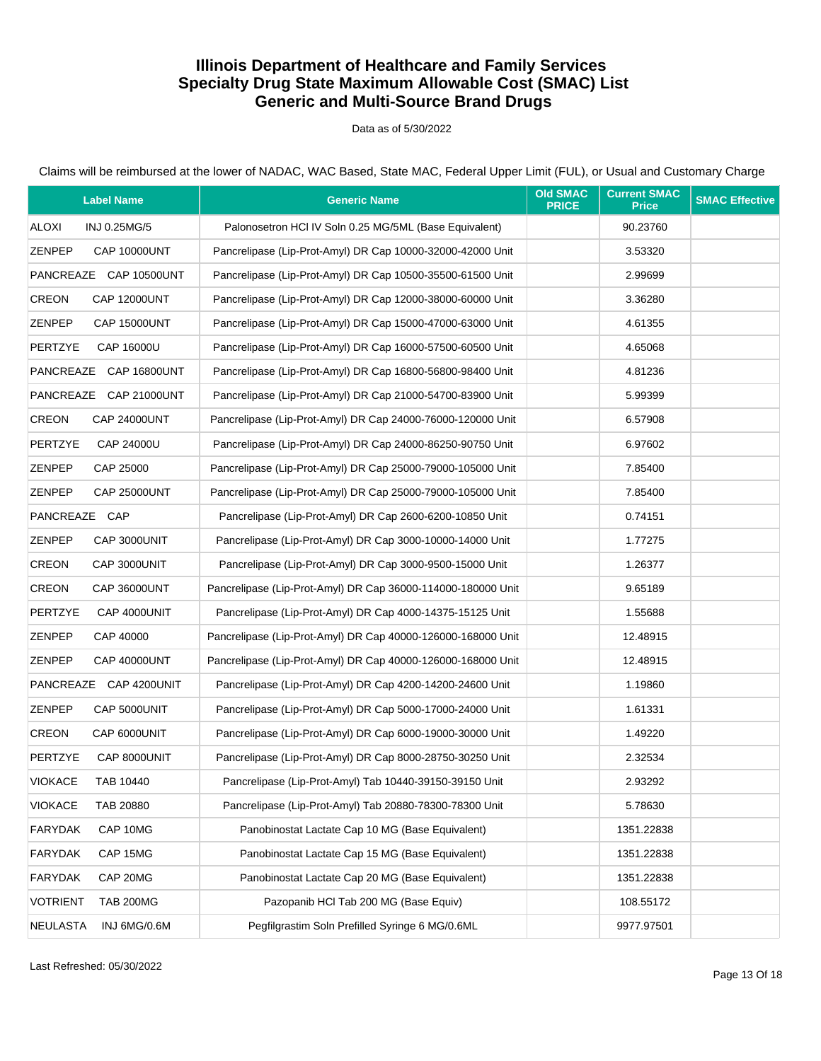Data as of 5/30/2022

| <b>Label Name</b>                   | <b>Generic Name</b>                                          | <b>Old SMAC</b><br><b>PRICE</b> | <b>Current SMAC</b><br><b>Price</b> | <b>SMAC Effective</b> |
|-------------------------------------|--------------------------------------------------------------|---------------------------------|-------------------------------------|-----------------------|
| ALOXI<br>INJ 0.25MG/5               | Palonosetron HCI IV Soln 0.25 MG/5ML (Base Equivalent)       |                                 | 90.23760                            |                       |
| ZENPEP<br><b>CAP 10000UNT</b>       | Pancrelipase (Lip-Prot-Amyl) DR Cap 10000-32000-42000 Unit   |                                 | 3.53320                             |                       |
| PANCREAZE CAP 10500UNT              | Pancrelipase (Lip-Prot-Amyl) DR Cap 10500-35500-61500 Unit   |                                 | 2.99699                             |                       |
| CREON<br><b>CAP 12000UNT</b>        | Pancrelipase (Lip-Prot-Amyl) DR Cap 12000-38000-60000 Unit   |                                 | 3.36280                             |                       |
| ZENPEP<br><b>CAP 15000UNT</b>       | Pancrelipase (Lip-Prot-Amyl) DR Cap 15000-47000-63000 Unit   |                                 | 4.61355                             |                       |
| <b>PERTZYE</b><br>CAP 16000U        | Pancrelipase (Lip-Prot-Amyl) DR Cap 16000-57500-60500 Unit   |                                 | 4.65068                             |                       |
| PANCREAZE CAP 16800UNT              | Pancrelipase (Lip-Prot-Amyl) DR Cap 16800-56800-98400 Unit   |                                 | 4.81236                             |                       |
| PANCREAZE CAP 21000UNT              | Pancrelipase (Lip-Prot-Amyl) DR Cap 21000-54700-83900 Unit   |                                 | 5.99399                             |                       |
| CREON<br><b>CAP 24000UNT</b>        | Pancrelipase (Lip-Prot-Amyl) DR Cap 24000-76000-120000 Unit  |                                 | 6.57908                             |                       |
| <b>PERTZYE</b><br>CAP 24000U        | Pancrelipase (Lip-Prot-Amyl) DR Cap 24000-86250-90750 Unit   |                                 | 6.97602                             |                       |
| <b>ZENPEP</b><br>CAP 25000          | Pancrelipase (Lip-Prot-Amyl) DR Cap 25000-79000-105000 Unit  |                                 | 7.85400                             |                       |
| ZENPEP<br><b>CAP 25000UNT</b>       | Pancrelipase (Lip-Prot-Amyl) DR Cap 25000-79000-105000 Unit  |                                 | 7.85400                             |                       |
| PANCREAZE CAP                       | Pancrelipase (Lip-Prot-Amyl) DR Cap 2600-6200-10850 Unit     |                                 | 0.74151                             |                       |
| <b>ZENPEP</b><br>CAP 3000UNIT       | Pancrelipase (Lip-Prot-Amyl) DR Cap 3000-10000-14000 Unit    |                                 | 1.77275                             |                       |
| CREON<br>CAP 3000UNIT               | Pancrelipase (Lip-Prot-Amyl) DR Cap 3000-9500-15000 Unit     |                                 | 1.26377                             |                       |
| CREON<br><b>CAP 36000UNT</b>        | Pancrelipase (Lip-Prot-Amyl) DR Cap 36000-114000-180000 Unit |                                 | 9.65189                             |                       |
| <b>PERTZYE</b><br>CAP 4000UNIT      | Pancrelipase (Lip-Prot-Amyl) DR Cap 4000-14375-15125 Unit    |                                 | 1.55688                             |                       |
| ZENPEP<br>CAP 40000                 | Pancrelipase (Lip-Prot-Amyl) DR Cap 40000-126000-168000 Unit |                                 | 12.48915                            |                       |
| ZENPEP<br><b>CAP 40000UNT</b>       | Pancrelipase (Lip-Prot-Amyl) DR Cap 40000-126000-168000 Unit |                                 | 12.48915                            |                       |
| PANCREAZE CAP 4200UNIT              | Pancrelipase (Lip-Prot-Amyl) DR Cap 4200-14200-24600 Unit    |                                 | 1.19860                             |                       |
| ZENPEP<br>CAP 5000UNIT              | Pancrelipase (Lip-Prot-Amyl) DR Cap 5000-17000-24000 Unit    |                                 | 1.61331                             |                       |
| <b>CREON</b><br>CAP 6000UNIT        | Pancrelipase (Lip-Prot-Amyl) DR Cap 6000-19000-30000 Unit    |                                 | 1.49220                             |                       |
| <b>PERTZYE</b><br>CAP 8000UNIT      | Pancrelipase (Lip-Prot-Amyl) DR Cap 8000-28750-30250 Unit    |                                 | 2.32534                             |                       |
| <b>VIOKACE</b><br>TAB 10440         | Pancrelipase (Lip-Prot-Amyl) Tab 10440-39150-39150 Unit      |                                 | 2.93292                             |                       |
| <b>VIOKACE</b><br>TAB 20880         | Pancrelipase (Lip-Prot-Amyl) Tab 20880-78300-78300 Unit      |                                 | 5.78630                             |                       |
| <b>FARYDAK</b><br>CAP 10MG          | Panobinostat Lactate Cap 10 MG (Base Equivalent)             |                                 | 1351.22838                          |                       |
| <b>FARYDAK</b><br>CAP 15MG          | Panobinostat Lactate Cap 15 MG (Base Equivalent)             |                                 | 1351.22838                          |                       |
| <b>FARYDAK</b><br>CAP 20MG          | Panobinostat Lactate Cap 20 MG (Base Equivalent)             |                                 | 1351.22838                          |                       |
| <b>VOTRIENT</b><br><b>TAB 200MG</b> | Pazopanib HCl Tab 200 MG (Base Equiv)                        |                                 | 108.55172                           |                       |
| <b>NEULASTA</b><br>INJ 6MG/0.6M     | Pegfilgrastim Soln Prefilled Syringe 6 MG/0.6ML              |                                 | 9977.97501                          |                       |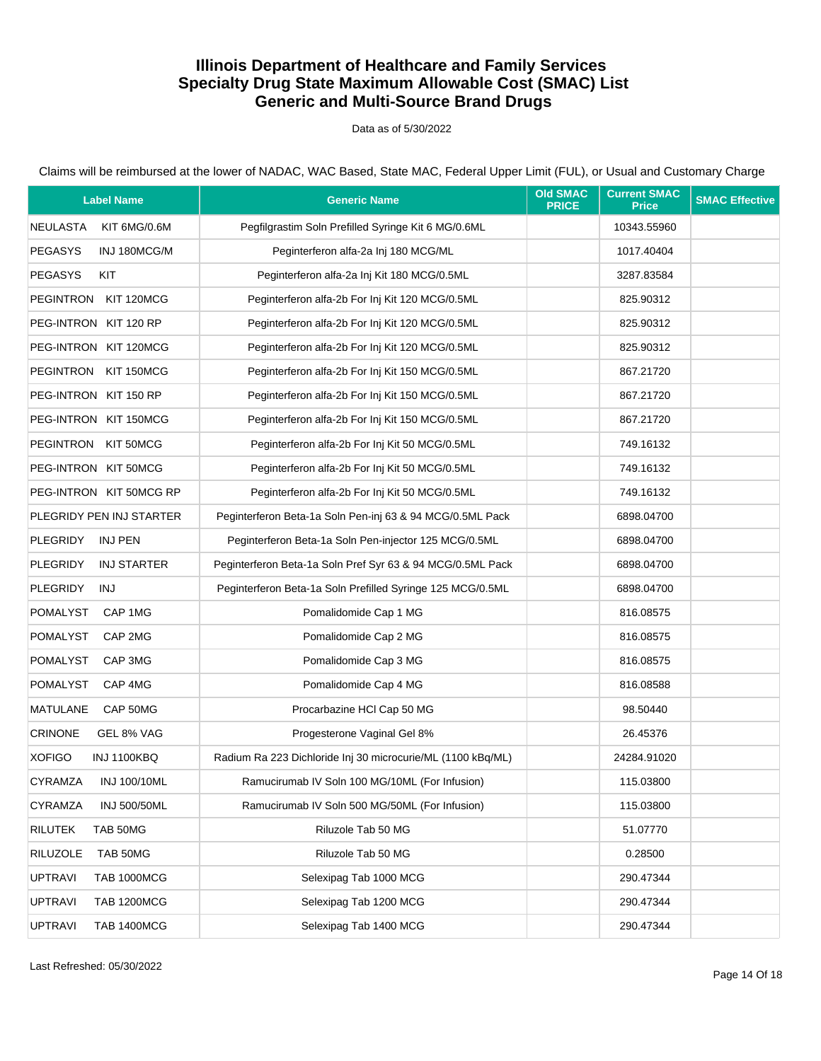Data as of 5/30/2022

| <b>Label Name</b>                     | <b>Generic Name</b>                                         | <b>Old SMAC</b><br><b>PRICE</b> | <b>Current SMAC</b><br><b>Price</b> | <b>SMAC Effective</b> |
|---------------------------------------|-------------------------------------------------------------|---------------------------------|-------------------------------------|-----------------------|
| <b>NEULASTA</b><br>KIT 6MG/0.6M       | Pegfilgrastim Soln Prefilled Syringe Kit 6 MG/0.6ML         |                                 | 10343.55960                         |                       |
| <b>PEGASYS</b><br>INJ 180MCG/M        | Peginterferon alfa-2a Inj 180 MCG/ML                        |                                 | 1017.40404                          |                       |
| <b>PEGASYS</b><br>KIT                 | Peginterferon alfa-2a Inj Kit 180 MCG/0.5ML                 |                                 | 3287.83584                          |                       |
| PEGINTRON KIT 120MCG                  | Peginterferon alfa-2b For Inj Kit 120 MCG/0.5ML             |                                 | 825.90312                           |                       |
| PEG-INTRON KIT 120 RP                 | Peginterferon alfa-2b For Inj Kit 120 MCG/0.5ML             |                                 | 825.90312                           |                       |
| PEG-INTRON KIT 120MCG                 | Peginterferon alfa-2b For Inj Kit 120 MCG/0.5ML             |                                 | 825.90312                           |                       |
| PEGINTRON KIT 150MCG                  | Peginterferon alfa-2b For Inj Kit 150 MCG/0.5ML             |                                 | 867.21720                           |                       |
| PEG-INTRON KIT 150 RP                 | Peginterferon alfa-2b For Inj Kit 150 MCG/0.5ML             |                                 | 867.21720                           |                       |
| PEG-INTRON KIT 150MCG                 | Peginterferon alfa-2b For Inj Kit 150 MCG/0.5ML             |                                 | 867.21720                           |                       |
| PEGINTRON KIT 50MCG                   | Peginterferon alfa-2b For Inj Kit 50 MCG/0.5ML              |                                 | 749.16132                           |                       |
| PEG-INTRON KIT 50MCG                  | Peginterferon alfa-2b For Inj Kit 50 MCG/0.5ML              |                                 | 749.16132                           |                       |
| PEG-INTRON KIT 50MCG RP               | Peginterferon alfa-2b For Inj Kit 50 MCG/0.5ML              |                                 | 749.16132                           |                       |
| PLEGRIDY PEN INJ STARTER              | Peginterferon Beta-1a Soln Pen-inj 63 & 94 MCG/0.5ML Pack   |                                 | 6898.04700                          |                       |
| <b>PLEGRIDY</b><br>INJ PEN            | Peginterferon Beta-1a Soln Pen-injector 125 MCG/0.5ML       |                                 | 6898.04700                          |                       |
| <b>PLEGRIDY</b><br><b>INJ STARTER</b> | Peginterferon Beta-1a Soln Pref Syr 63 & 94 MCG/0.5ML Pack  |                                 | 6898.04700                          |                       |
| <b>PLEGRIDY</b><br>INJ                | Peginterferon Beta-1a Soln Prefilled Syringe 125 MCG/0.5ML  |                                 | 6898.04700                          |                       |
| POMALYST<br>CAP 1MG                   | Pomalidomide Cap 1 MG                                       |                                 | 816.08575                           |                       |
| <b>POMALYST</b><br>CAP 2MG            | Pomalidomide Cap 2 MG                                       |                                 | 816.08575                           |                       |
| <b>POMALYST</b><br>CAP 3MG            | Pomalidomide Cap 3 MG                                       |                                 | 816.08575                           |                       |
| <b>POMALYST</b><br>CAP 4MG            | Pomalidomide Cap 4 MG                                       |                                 | 816.08588                           |                       |
| <b>MATULANE</b><br>CAP 50MG           | Procarbazine HCl Cap 50 MG                                  |                                 | 98.50440                            |                       |
| <b>CRINONE</b><br>GEL 8% VAG          | Progesterone Vaginal Gel 8%                                 |                                 | 26.45376                            |                       |
| <b>XOFIGO</b><br>INJ 1100KBQ          | Radium Ra 223 Dichloride Inj 30 microcurie/ML (1100 kBq/ML) |                                 | 24284.91020                         |                       |
| CYRAMZA<br>INJ 100/10ML               | Ramucirumab IV Soln 100 MG/10ML (For Infusion)              |                                 | 115.03800                           |                       |
| <b>CYRAMZA</b><br><b>INJ 500/50ML</b> | Ramucirumab IV Soln 500 MG/50ML (For Infusion)              |                                 | 115.03800                           |                       |
| <b>RILUTEK</b><br>TAB 50MG            | Riluzole Tab 50 MG                                          |                                 | 51.07770                            |                       |
| <b>RILUZOLE</b><br>TAB 50MG           | Riluzole Tab 50 MG                                          |                                 | 0.28500                             |                       |
| <b>UPTRAVI</b><br><b>TAB 1000MCG</b>  | Selexipag Tab 1000 MCG                                      |                                 | 290.47344                           |                       |
| <b>UPTRAVI</b><br><b>TAB 1200MCG</b>  | Selexipag Tab 1200 MCG                                      |                                 | 290.47344                           |                       |
| <b>UPTRAVI</b><br><b>TAB 1400MCG</b>  | Selexipag Tab 1400 MCG                                      |                                 | 290.47344                           |                       |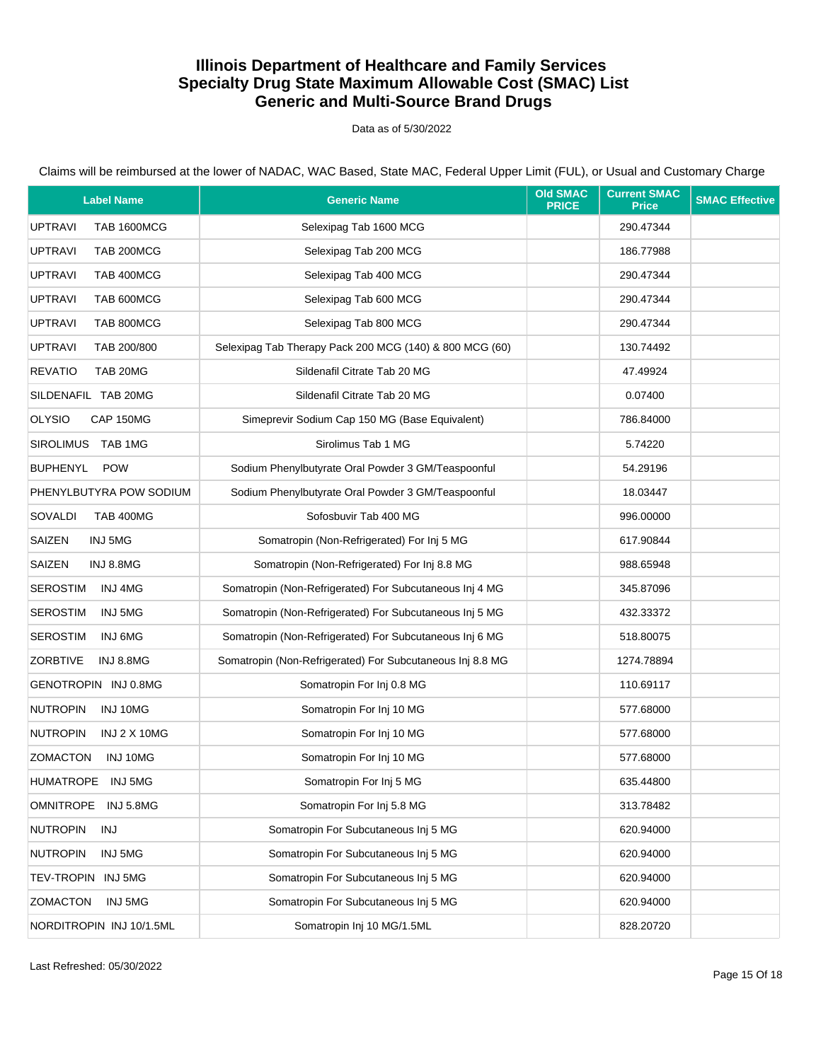Data as of 5/30/2022

| <b>Label Name</b>                      | <b>Generic Name</b>                                       | <b>Old SMAC</b><br><b>PRICE</b> | <b>Current SMAC</b><br><b>Price</b> | <b>SMAC Effective</b> |
|----------------------------------------|-----------------------------------------------------------|---------------------------------|-------------------------------------|-----------------------|
| <b>UPTRAVI</b><br><b>TAB 1600MCG</b>   | Selexipag Tab 1600 MCG                                    |                                 | 290.47344                           |                       |
| <b>UPTRAVI</b><br>TAB 200MCG           | Selexipag Tab 200 MCG                                     |                                 | 186.77988                           |                       |
| <b>UPTRAVI</b><br>TAB 400MCG           | Selexipag Tab 400 MCG                                     |                                 | 290.47344                           |                       |
| <b>UPTRAVI</b><br>TAB 600MCG           | Selexipag Tab 600 MCG                                     |                                 | 290.47344                           |                       |
| <b>UPTRAVI</b><br>TAB 800MCG           | Selexipag Tab 800 MCG                                     |                                 | 290.47344                           |                       |
| <b>UPTRAVI</b><br>TAB 200/800          | Selexipag Tab Therapy Pack 200 MCG (140) & 800 MCG (60)   |                                 | 130.74492                           |                       |
| <b>REVATIO</b><br>TAB 20MG             | Sildenafil Citrate Tab 20 MG                              |                                 | 47.49924                            |                       |
| SILDENAFIL TAB 20MG                    | Sildenafil Citrate Tab 20 MG                              |                                 | 0.07400                             |                       |
| <b>OLYSIO</b><br>CAP 150MG             | Simeprevir Sodium Cap 150 MG (Base Equivalent)            |                                 | 786.84000                           |                       |
| SIROLIMUS TAB 1MG                      | Sirolimus Tab 1 MG                                        |                                 | 5.74220                             |                       |
| <b>BUPHENYL</b><br><b>POW</b>          | Sodium Phenylbutyrate Oral Powder 3 GM/Teaspoonful        |                                 | 54.29196                            |                       |
| PHENYLBUTYRA POW SODIUM                | Sodium Phenylbutyrate Oral Powder 3 GM/Teaspoonful        |                                 | 18.03447                            |                       |
| <b>SOVALDI</b><br><b>TAB 400MG</b>     | Sofosbuvir Tab 400 MG                                     |                                 | 996.00000                           |                       |
| SAIZEN<br>INJ 5MG                      | Somatropin (Non-Refrigerated) For Inj 5 MG                |                                 | 617.90844                           |                       |
| SAIZEN<br>INJ 8.8MG                    | Somatropin (Non-Refrigerated) For Inj 8.8 MG              |                                 | 988.65948                           |                       |
| <b>SEROSTIM</b><br>INJ 4MG             | Somatropin (Non-Refrigerated) For Subcutaneous Inj 4 MG   |                                 | 345.87096                           |                       |
| <b>SEROSTIM</b><br>INJ 5MG             | Somatropin (Non-Refrigerated) For Subcutaneous Inj 5 MG   |                                 | 432.33372                           |                       |
| <b>SEROSTIM</b><br>INJ 6MG             | Somatropin (Non-Refrigerated) For Subcutaneous Inj 6 MG   |                                 | 518.80075                           |                       |
| <b>ZORBTIVE</b><br>INJ 8.8MG           | Somatropin (Non-Refrigerated) For Subcutaneous Inj 8.8 MG |                                 | 1274.78894                          |                       |
| GENOTROPIN INJ 0.8MG                   | Somatropin For Inj 0.8 MG                                 |                                 | 110.69117                           |                       |
| <b>NUTROPIN</b><br>INJ 10MG            | Somatropin For Inj 10 MG                                  |                                 | 577.68000                           |                       |
| <b>NUTROPIN</b><br><b>INJ 2 X 10MG</b> | Somatropin For Inj 10 MG                                  |                                 | 577.68000                           |                       |
| ZOMACTON<br>INJ 10MG                   | Somatropin For Inj 10 MG                                  |                                 | 577.68000                           |                       |
| HUMATROPE INJ 5MG                      | Somatropin For Inj 5 MG                                   |                                 | 635.44800                           |                       |
| <b>OMNITROPE</b><br>INJ 5.8MG          | Somatropin For Inj 5.8 MG                                 |                                 | 313.78482                           |                       |
| <b>NUTROPIN</b><br>INJ                 | Somatropin For Subcutaneous Inj 5 MG                      |                                 | 620.94000                           |                       |
| <b>NUTROPIN</b><br>INJ 5MG             | Somatropin For Subcutaneous Inj 5 MG                      |                                 | 620.94000                           |                       |
| TEV-TROPIN INJ 5MG                     | Somatropin For Subcutaneous Inj 5 MG                      |                                 | 620.94000                           |                       |
| <b>ZOMACTON</b><br>INJ 5MG             | Somatropin For Subcutaneous Inj 5 MG                      |                                 | 620.94000                           |                       |
| NORDITROPIN INJ 10/1.5ML               | Somatropin Inj 10 MG/1.5ML                                |                                 | 828.20720                           |                       |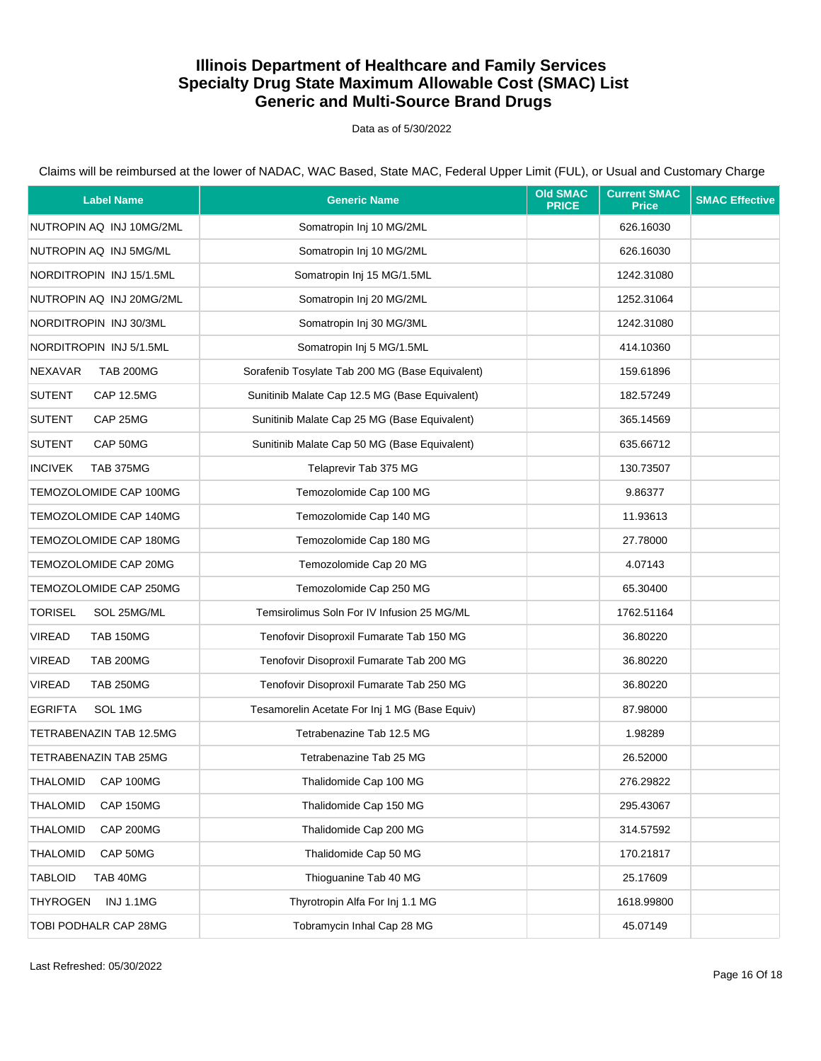Data as of 5/30/2022

| <b>Label Name</b>                   | <b>Generic Name</b>                             | <b>Old SMAC</b><br><b>PRICE</b> | <b>Current SMAC</b><br><b>Price</b> | <b>SMAC Effective</b> |
|-------------------------------------|-------------------------------------------------|---------------------------------|-------------------------------------|-----------------------|
| NUTROPIN AQ INJ 10MG/2ML            | Somatropin Inj 10 MG/2ML                        |                                 | 626.16030                           |                       |
| NUTROPIN AQ INJ 5MG/ML              | Somatropin Inj 10 MG/2ML                        |                                 | 626.16030                           |                       |
| NORDITROPIN INJ 15/1.5ML            | Somatropin Inj 15 MG/1.5ML                      |                                 | 1242.31080                          |                       |
| NUTROPIN AQ INJ 20MG/2ML            | Somatropin Inj 20 MG/2ML                        |                                 | 1252.31064                          |                       |
| NORDITROPIN INJ 30/3ML              | Somatropin Inj 30 MG/3ML                        |                                 | 1242.31080                          |                       |
| NORDITROPIN INJ 5/1.5ML             | Somatropin Inj 5 MG/1.5ML                       |                                 | 414.10360                           |                       |
| <b>NEXAVAR</b><br><b>TAB 200MG</b>  | Sorafenib Tosylate Tab 200 MG (Base Equivalent) |                                 | 159.61896                           |                       |
| <b>SUTENT</b><br><b>CAP 12.5MG</b>  | Sunitinib Malate Cap 12.5 MG (Base Equivalent)  |                                 | 182.57249                           |                       |
| <b>SUTENT</b><br>CAP 25MG           | Sunitinib Malate Cap 25 MG (Base Equivalent)    |                                 | 365.14569                           |                       |
| <b>SUTENT</b><br>CAP 50MG           | Sunitinib Malate Cap 50 MG (Base Equivalent)    |                                 | 635.66712                           |                       |
| <b>INCIVEK</b><br><b>TAB 375MG</b>  | Telaprevir Tab 375 MG                           |                                 | 130.73507                           |                       |
| TEMOZOLOMIDE CAP 100MG              | Temozolomide Cap 100 MG                         |                                 | 9.86377                             |                       |
| TEMOZOLOMIDE CAP 140MG              | Temozolomide Cap 140 MG                         |                                 | 11.93613                            |                       |
| TEMOZOLOMIDE CAP 180MG              | Temozolomide Cap 180 MG                         |                                 | 27.78000                            |                       |
| TEMOZOLOMIDE CAP 20MG               | Temozolomide Cap 20 MG                          |                                 | 4.07143                             |                       |
| TEMOZOLOMIDE CAP 250MG              | Temozolomide Cap 250 MG                         |                                 | 65.30400                            |                       |
| SOL 25MG/ML<br><b>TORISEL</b>       | Temsirolimus Soln For IV Infusion 25 MG/ML      |                                 | 1762.51164                          |                       |
| <b>VIREAD</b><br><b>TAB 150MG</b>   | Tenofovir Disoproxil Fumarate Tab 150 MG        |                                 | 36.80220                            |                       |
| <b>VIREAD</b><br><b>TAB 200MG</b>   | Tenofovir Disoproxil Fumarate Tab 200 MG        |                                 | 36.80220                            |                       |
| <b>VIREAD</b><br><b>TAB 250MG</b>   | Tenofovir Disoproxil Fumarate Tab 250 MG        |                                 | 36.80220                            |                       |
| <b>EGRIFTA</b><br>SOL 1MG           | Tesamorelin Acetate For Inj 1 MG (Base Equiv)   |                                 | 87.98000                            |                       |
| TETRABENAZIN TAB 12.5MG             | Tetrabenazine Tab 12.5 MG                       |                                 | 1.98289                             |                       |
| TETRABENAZIN TAB 25MG               | Tetrabenazine Tab 25 MG                         |                                 | 26.52000                            |                       |
| CAP 100MG<br>THALOMID               | Thalidomide Cap 100 MG                          |                                 | 276.29822                           |                       |
| <b>THALOMID</b><br>CAP 150MG        | Thalidomide Cap 150 MG                          |                                 | 295.43067                           |                       |
| <b>THALOMID</b><br><b>CAP 200MG</b> | Thalidomide Cap 200 MG                          |                                 | 314.57592                           |                       |
| CAP 50MG<br><b>THALOMID</b>         | Thalidomide Cap 50 MG                           |                                 | 170.21817                           |                       |
| <b>TABLOID</b><br>TAB 40MG          | Thioguanine Tab 40 MG                           |                                 | 25.17609                            |                       |
| <b>THYROGEN</b><br><b>INJ 1.1MG</b> | Thyrotropin Alfa For Inj 1.1 MG                 |                                 | 1618.99800                          |                       |
| TOBI PODHALR CAP 28MG               | Tobramycin Inhal Cap 28 MG                      |                                 | 45.07149                            |                       |